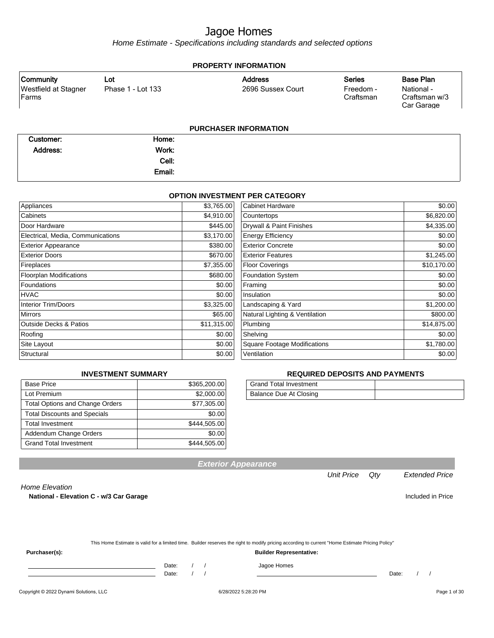Home Estimate - Specifications including standards and selected options

| <b>PROPERTY INFORMATION</b>                 |                   |                              |                        |                                           |  |
|---------------------------------------------|-------------------|------------------------------|------------------------|-------------------------------------------|--|
| Community                                   | Lot               | <b>Address</b>               | <b>Series</b>          | <b>Base Plan</b>                          |  |
| <b>Westfield at Stagner</b><br><b>Farms</b> | Phase 1 - Lot 133 | 2696 Sussex Court            | Freedom -<br>Craftsman | National -<br>Craftsman w/3<br>Car Garage |  |
|                                             |                   | <b>PURCHASER INFORMATION</b> |                        |                                           |  |
| Customer:                                   | Home:             |                              |                        |                                           |  |
| Address:                                    | Work:             |                              |                        |                                           |  |
|                                             | Cell:             |                              |                        |                                           |  |
|                                             | Email:            |                              |                        |                                           |  |

#### **OPTION INVESTMENT PER CATEGORY**

| Appliances                        | \$3,765.00  | <b>Cabinet Hardware</b>             | \$0.00      |
|-----------------------------------|-------------|-------------------------------------|-------------|
| Cabinets                          | \$4,910.00  | Countertops                         | \$6,820.00  |
| Door Hardware                     | \$445.00    | Drywall & Paint Finishes            | \$4,335.00  |
| Electrical, Media, Communications | \$3,170.00  | <b>Energy Efficiency</b>            | \$0.00      |
| <b>Exterior Appearance</b>        | \$380.00    | <b>Exterior Concrete</b>            | \$0.00      |
| <b>Exterior Doors</b>             | \$670.00    | <b>Exterior Features</b>            | \$1,245.00  |
| Fireplaces                        | \$7,355.00  | <b>Floor Coverings</b>              | \$10,170.00 |
| <b>Floorplan Modifications</b>    | \$680.00    | Foundation System                   | \$0.00      |
| Foundations                       | \$0.00      | Framing                             | \$0.00      |
| <b>HVAC</b>                       | \$0.00      | Insulation                          | \$0.00      |
| <b>Interior Trim/Doors</b>        | \$3,325.00  | Landscaping & Yard                  | \$1,200.00  |
| <b>Mirrors</b>                    | \$65.00     | Natural Lighting & Ventilation      | \$800.00    |
| <b>Outside Decks &amp; Patios</b> | \$11,315.00 | Plumbing                            | \$14,875.00 |
| Roofing                           | \$0.00      | Shelving                            | \$0.00      |
| Site Layout                       | \$0.00      | <b>Square Footage Modifications</b> | \$1,780.00  |
| Structural                        | \$0.00      | Ventilation                         | \$0.00      |

#### **INVESTMENT SUMMARY**

| <b>Base Price</b>                      | \$365,200.00 |
|----------------------------------------|--------------|
| Lot Premium                            | \$2,000.00   |
| <b>Total Options and Change Orders</b> | \$77,305.00  |
| <b>Total Discounts and Specials</b>    | \$0.00       |
| <b>Total Investment</b>                | \$444,505.00 |
| Addendum Change Orders                 | \$0.00       |
| <b>Grand Total Investment</b>          | \$444,505.00 |

#### **REQUIRED DEPOSITS AND PAYMENTS**

| Grand Total Investment |  |
|------------------------|--|
| Balance Due At Closing |  |

**Exterior Appearance**

Unit Price Qty Extended Price

#### Home Elevation

National - Elevation C - w/3 Car Garage **Included in Price** Included in Price

This Home Estimate is valid for a limited time. Builder reserves the right to modify pricing according to current "Home Estimate Pricing Policy"

**Purchaser(s): Builder Representative:**

Date: / / Jagoe Homes

Date: / / Date: / /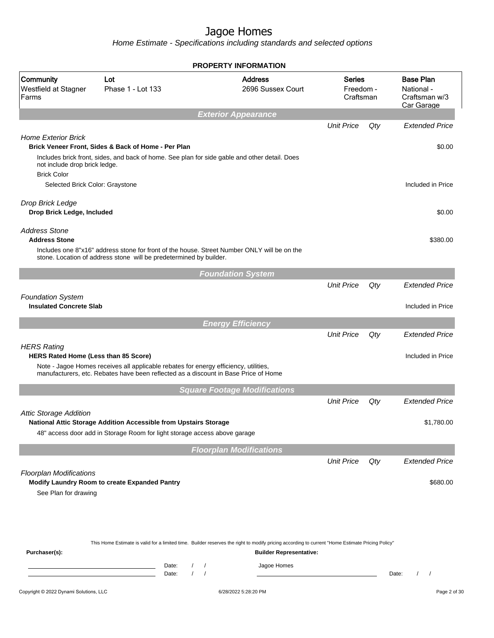|                                                                                   |                                                                                                                                                                             |                   | <b>PROPERTY INFORMATION</b>                                                                                                                                                                       |                                         |     |                                                               |
|-----------------------------------------------------------------------------------|-----------------------------------------------------------------------------------------------------------------------------------------------------------------------------|-------------------|---------------------------------------------------------------------------------------------------------------------------------------------------------------------------------------------------|-----------------------------------------|-----|---------------------------------------------------------------|
| Community<br>Westfield at Stagner<br>Farms                                        | Lot<br>Phase 1 - Lot 133                                                                                                                                                    |                   | <b>Address</b><br>2696 Sussex Court                                                                                                                                                               | <b>Series</b><br>Freedom -<br>Craftsman |     | <b>Base Plan</b><br>National -<br>Craftsman w/3<br>Car Garage |
|                                                                                   |                                                                                                                                                                             |                   | <b>Exterior Appearance</b>                                                                                                                                                                        |                                         |     |                                                               |
|                                                                                   |                                                                                                                                                                             |                   |                                                                                                                                                                                                   | <b>Unit Price</b>                       | Qty | <b>Extended Price</b>                                         |
| <b>Home Exterior Brick</b><br>not include drop brick ledge.<br><b>Brick Color</b> | Brick Veneer Front, Sides & Back of Home - Per Plan<br>Includes brick front, sides, and back of home. See plan for side gable and other detail. Does                        |                   |                                                                                                                                                                                                   |                                         |     | \$0.00                                                        |
| Selected Brick Color: Graystone                                                   |                                                                                                                                                                             |                   |                                                                                                                                                                                                   |                                         |     | Included in Price                                             |
| Drop Brick Ledge<br>Drop Brick Ledge, Included                                    |                                                                                                                                                                             |                   |                                                                                                                                                                                                   |                                         |     | \$0.00                                                        |
| <b>Address Stone</b><br><b>Address Stone</b>                                      |                                                                                                                                                                             |                   |                                                                                                                                                                                                   |                                         |     | \$380.00                                                      |
|                                                                                   | stone. Location of address stone will be predetermined by builder.                                                                                                          |                   | Includes one 8"x16" address stone for front of the house. Street Number ONLY will be on the                                                                                                       |                                         |     |                                                               |
|                                                                                   |                                                                                                                                                                             |                   | <b>Foundation System</b>                                                                                                                                                                          |                                         |     |                                                               |
|                                                                                   |                                                                                                                                                                             |                   |                                                                                                                                                                                                   | <b>Unit Price</b>                       | Qty | <b>Extended Price</b>                                         |
| <b>Foundation System</b><br><b>Insulated Concrete Slab</b>                        |                                                                                                                                                                             |                   |                                                                                                                                                                                                   |                                         |     | Included in Price                                             |
|                                                                                   |                                                                                                                                                                             |                   | <b>Energy Efficiency</b>                                                                                                                                                                          |                                         |     |                                                               |
|                                                                                   |                                                                                                                                                                             |                   |                                                                                                                                                                                                   | <b>Unit Price</b>                       | Qty | <b>Extended Price</b>                                         |
| <b>HERS Rating</b><br><b>HERS Rated Home (Less than 85 Score)</b>                 | Note - Jagoe Homes receives all applicable rebates for energy efficiency, utilities,<br>manufacturers, etc. Rebates have been reflected as a discount in Base Price of Home |                   |                                                                                                                                                                                                   |                                         |     | Included in Price                                             |
|                                                                                   |                                                                                                                                                                             |                   | <b>Square Footage Modifications</b>                                                                                                                                                               |                                         |     |                                                               |
|                                                                                   |                                                                                                                                                                             |                   |                                                                                                                                                                                                   | <b>Unit Price</b>                       | Qty | <b>Extended Price</b>                                         |
| <b>Attic Storage Addition</b>                                                     | National Attic Storage Addition Accessible from Upstairs Storage<br>48" access door add in Storage Room for light storage access above garage                               |                   |                                                                                                                                                                                                   |                                         |     | \$1,780.00                                                    |
|                                                                                   |                                                                                                                                                                             |                   | <b>Floorplan Modifications</b>                                                                                                                                                                    |                                         |     |                                                               |
|                                                                                   |                                                                                                                                                                             |                   |                                                                                                                                                                                                   | <b>Unit Price</b>                       | Qty | <b>Extended Price</b>                                         |
| <b>Floorplan Modifications</b><br>See Plan for drawing                            | Modify Laundry Room to create Expanded Pantry                                                                                                                               |                   |                                                                                                                                                                                                   |                                         |     | \$680.00                                                      |
| Purchaser(s):                                                                     |                                                                                                                                                                             | Date:             | This Home Estimate is valid for a limited time. Builder reserves the right to modify pricing according to current "Home Estimate Pricing Policy"<br><b>Builder Representative:</b><br>Jagoe Homes |                                         |     |                                                               |
|                                                                                   |                                                                                                                                                                             | $\prime$<br>Date: |                                                                                                                                                                                                   |                                         |     | Date:<br>$\prime$<br>$\prime$                                 |
| Copyright © 2022 Dynami Solutions, LLC                                            |                                                                                                                                                                             |                   | 6/28/2022 5:28:20 PM                                                                                                                                                                              |                                         |     | Page 2 of 30                                                  |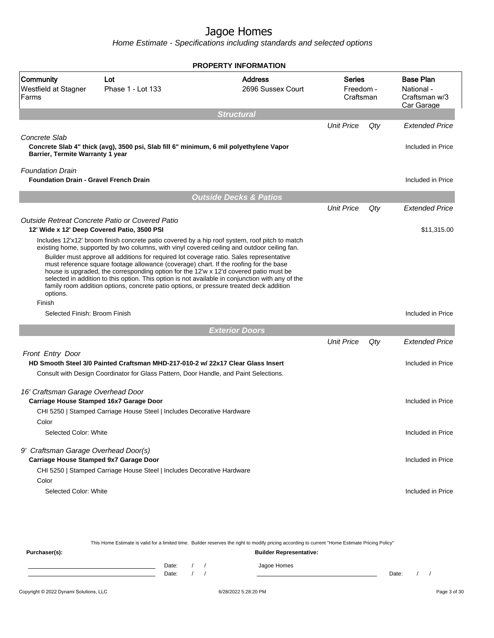Home Estimate - Specifications including standards and selected options

|                                                                          |                                                                                                                                                                                                                                                                                                                                                                                                                                                                           | <b>PROPERTY INFORMATION</b>         |                                         |     |                                                               |  |
|--------------------------------------------------------------------------|---------------------------------------------------------------------------------------------------------------------------------------------------------------------------------------------------------------------------------------------------------------------------------------------------------------------------------------------------------------------------------------------------------------------------------------------------------------------------|-------------------------------------|-----------------------------------------|-----|---------------------------------------------------------------|--|
| Community<br>Westfield at Stagner<br>Farms                               | Lot<br>Phase 1 - Lot 133                                                                                                                                                                                                                                                                                                                                                                                                                                                  | <b>Address</b><br>2696 Sussex Court | <b>Series</b><br>Freedom -<br>Craftsman |     | <b>Base Plan</b><br>National -<br>Craftsman w/3<br>Car Garage |  |
|                                                                          |                                                                                                                                                                                                                                                                                                                                                                                                                                                                           | <b>Structural</b>                   |                                         |     |                                                               |  |
| Concrete Slab                                                            |                                                                                                                                                                                                                                                                                                                                                                                                                                                                           |                                     | <b>Unit Price</b>                       | Qty | <b>Extended Price</b>                                         |  |
| Barrier, Termite Warranty 1 year                                         | Concrete Slab 4" thick (avg), 3500 psi, Slab fill 6" minimum, 6 mil polyethylene Vapor                                                                                                                                                                                                                                                                                                                                                                                    |                                     |                                         |     | Included in Price                                             |  |
| <b>Foundation Drain</b><br><b>Foundation Drain - Gravel French Drain</b> |                                                                                                                                                                                                                                                                                                                                                                                                                                                                           |                                     |                                         |     | Included in Price                                             |  |
|                                                                          |                                                                                                                                                                                                                                                                                                                                                                                                                                                                           | <b>Outside Decks &amp; Patios</b>   |                                         |     |                                                               |  |
|                                                                          |                                                                                                                                                                                                                                                                                                                                                                                                                                                                           |                                     | <b>Unit Price</b>                       | Qty | <b>Extended Price</b>                                         |  |
|                                                                          | Outside Retreat Concrete Patio or Covered Patio<br>12' Wide x 12' Deep Covered Patio, 3500 PSI                                                                                                                                                                                                                                                                                                                                                                            |                                     |                                         |     | \$11,315.00                                                   |  |
|                                                                          | Includes 12'x12' broom finish concrete patio covered by a hip roof system, roof pitch to match<br>existing home, supported by two columns, with vinyl covered ceiling and outdoor ceiling fan.                                                                                                                                                                                                                                                                            |                                     |                                         |     |                                                               |  |
| options.                                                                 | Builder must approve all additions for required lot coverage ratio. Sales representative<br>must reference square footage allowance (coverage) chart. If the roofing for the base<br>house is upgraded, the corresponding option for the 12'w x 12'd covered patio must be<br>selected in addition to this option. This option is not available in conjunction with any of the<br>family room addition options, concrete patio options, or pressure treated deck addition |                                     |                                         |     |                                                               |  |
| Finish                                                                   |                                                                                                                                                                                                                                                                                                                                                                                                                                                                           |                                     |                                         |     |                                                               |  |
| Selected Finish: Broom Finish                                            |                                                                                                                                                                                                                                                                                                                                                                                                                                                                           |                                     |                                         |     | Included in Price                                             |  |
|                                                                          |                                                                                                                                                                                                                                                                                                                                                                                                                                                                           | <b>Exterior Doors</b>               |                                         |     |                                                               |  |
|                                                                          |                                                                                                                                                                                                                                                                                                                                                                                                                                                                           |                                     | <b>Unit Price</b>                       | Qty | <b>Extended Price</b>                                         |  |
| Front Entry Door                                                         |                                                                                                                                                                                                                                                                                                                                                                                                                                                                           |                                     |                                         |     |                                                               |  |
|                                                                          | HD Smooth Steel 3/0 Painted Craftsman MHD-217-010-2 w/ 22x17 Clear Glass Insert                                                                                                                                                                                                                                                                                                                                                                                           |                                     |                                         |     | Included in Price                                             |  |
|                                                                          | Consult with Design Coordinator for Glass Pattern, Door Handle, and Paint Selections.                                                                                                                                                                                                                                                                                                                                                                                     |                                     |                                         |     |                                                               |  |
| 16' Craftsman Garage Overhead Door                                       |                                                                                                                                                                                                                                                                                                                                                                                                                                                                           |                                     |                                         |     |                                                               |  |
|                                                                          | Carriage House Stamped 16x7 Garage Door                                                                                                                                                                                                                                                                                                                                                                                                                                   |                                     |                                         |     | Included in Price                                             |  |
|                                                                          | CHI 5250   Stamped Carriage House Steel   Includes Decorative Hardware                                                                                                                                                                                                                                                                                                                                                                                                    |                                     |                                         |     |                                                               |  |
| Color                                                                    |                                                                                                                                                                                                                                                                                                                                                                                                                                                                           |                                     |                                         |     |                                                               |  |
| Selected Color: White                                                    |                                                                                                                                                                                                                                                                                                                                                                                                                                                                           |                                     |                                         |     | Included in Price                                             |  |
| 9' Craftsman Garage Overhead Door(s)                                     |                                                                                                                                                                                                                                                                                                                                                                                                                                                                           |                                     |                                         |     |                                                               |  |
| Carriage House Stamped 9x7 Garage Door                                   |                                                                                                                                                                                                                                                                                                                                                                                                                                                                           |                                     |                                         |     | Included in Price                                             |  |
|                                                                          | CHI 5250   Stamped Carriage House Steel   Includes Decorative Hardware                                                                                                                                                                                                                                                                                                                                                                                                    |                                     |                                         |     |                                                               |  |
| Color                                                                    |                                                                                                                                                                                                                                                                                                                                                                                                                                                                           |                                     |                                         |     |                                                               |  |
| Selected Color: White                                                    |                                                                                                                                                                                                                                                                                                                                                                                                                                                                           |                                     |                                         |     | Included in Price                                             |  |
|                                                                          |                                                                                                                                                                                                                                                                                                                                                                                                                                                                           |                                     |                                         |     |                                                               |  |
|                                                                          |                                                                                                                                                                                                                                                                                                                                                                                                                                                                           |                                     |                                         |     |                                                               |  |

This Home Estimate is valid for a limited time. Builder reserves the right to modify pricing according to current "Home Estimate Pricing Policy" **Purchaser(s): Builder Representative:** Date: / / Jagoe Homes<br>Date: / / Jagoe Homes Date: / / Date: / /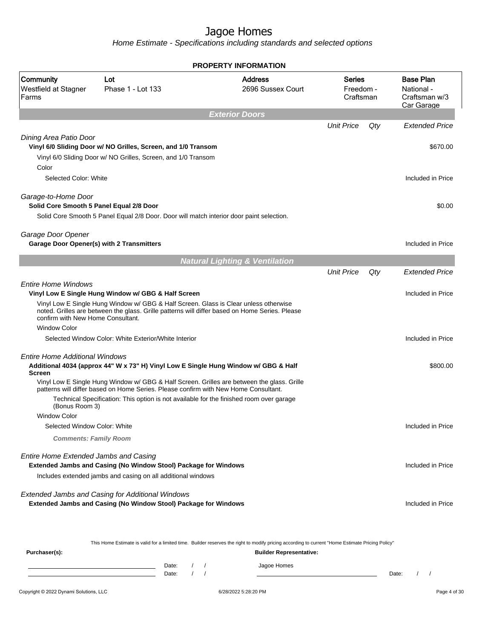Home Estimate - Specifications including standards and selected options

| <b>PROPERTY INFORMATION</b>                                     |                                                                                                                                                                                        |                                           |                                         |     |                                                               |  |
|-----------------------------------------------------------------|----------------------------------------------------------------------------------------------------------------------------------------------------------------------------------------|-------------------------------------------|-----------------------------------------|-----|---------------------------------------------------------------|--|
| Community<br>Westfield at Stagner<br>Farms                      | Lot<br>Phase 1 - Lot 133                                                                                                                                                               | <b>Address</b><br>2696 Sussex Court       | <b>Series</b><br>Freedom -<br>Craftsman |     | <b>Base Plan</b><br>National -<br>Craftsman w/3<br>Car Garage |  |
|                                                                 |                                                                                                                                                                                        | <b>Exterior Doors</b>                     |                                         |     |                                                               |  |
|                                                                 |                                                                                                                                                                                        |                                           | <b>Unit Price</b>                       | Qty | <b>Extended Price</b>                                         |  |
| Dining Area Patio Door<br>Color                                 | Vinyl 6/0 Sliding Door w/ NO Grilles, Screen, and 1/0 Transom<br>Vinyl 6/0 Sliding Door w/ NO Grilles, Screen, and 1/0 Transom                                                         |                                           |                                         |     | \$670.00                                                      |  |
| Selected Color: White                                           |                                                                                                                                                                                        |                                           |                                         |     | Included in Price                                             |  |
| Garage-to-Home Door<br>Solid Core Smooth 5 Panel Equal 2/8 Door | Solid Core Smooth 5 Panel Equal 2/8 Door. Door will match interior door paint selection.                                                                                               |                                           |                                         |     | \$0.00                                                        |  |
| Garage Door Opener                                              | Garage Door Opener(s) with 2 Transmitters                                                                                                                                              |                                           |                                         |     | Included in Price                                             |  |
|                                                                 |                                                                                                                                                                                        | <b>Natural Lighting &amp; Ventilation</b> |                                         |     |                                                               |  |
|                                                                 |                                                                                                                                                                                        |                                           | <b>Unit Price</b>                       | Qty | <b>Fxtended Price</b>                                         |  |
| <b>Entire Home Windows</b>                                      | Vinyl Low E Single Hung Window w/ GBG & Half Screen                                                                                                                                    |                                           |                                         |     | Included in Price                                             |  |
| confirm with New Home Consultant.                               | Vinyl Low E Single Hung Window w/ GBG & Half Screen. Glass is Clear unless otherwise<br>noted. Grilles are between the glass. Grille patterns will differ based on Home Series. Please |                                           |                                         |     |                                                               |  |
| <b>Window Color</b>                                             |                                                                                                                                                                                        |                                           |                                         |     |                                                               |  |
|                                                                 | Selected Window Color: White Exterior/White Interior                                                                                                                                   |                                           |                                         |     | Included in Price                                             |  |
| Entire Home Additional Windows<br><b>Screen</b>                 | Additional 4034 (approx 44" W x 73" H) Vinyl Low E Single Hung Window w/ GBG & Half                                                                                                    |                                           |                                         |     | \$800.00                                                      |  |
|                                                                 | Vinyl Low E Single Hung Window w/ GBG & Half Screen. Grilles are between the glass. Grille<br>patterns will differ based on Home Series. Please confirm with New Home Consultant.      |                                           |                                         |     |                                                               |  |
| (Bonus Room 3)<br><b>Window Color</b>                           | Technical Specification: This option is not available for the finished room over garage                                                                                                |                                           |                                         |     |                                                               |  |
| Selected Window Color: White                                    |                                                                                                                                                                                        |                                           |                                         |     | Included in Price                                             |  |
| <b>Comments: Family Room</b>                                    |                                                                                                                                                                                        |                                           |                                         |     |                                                               |  |
| Entire Home Extended Jambs and Casing                           | Extended Jambs and Casing (No Window Stool) Package for Windows                                                                                                                        |                                           |                                         |     | Included in Price                                             |  |
|                                                                 | Includes extended jambs and casing on all additional windows                                                                                                                           |                                           |                                         |     |                                                               |  |
|                                                                 | Extended Jambs and Casing for Additional Windows<br>Extended Jambs and Casing (No Window Stool) Package for Windows                                                                    |                                           |                                         |     | Included in Price                                             |  |
|                                                                 | This Home Estimate is valid for a limited time. Builder reserves the right to modify pricing according to current "Home Estimate Pricing Policy"                                       |                                           |                                         |     |                                                               |  |
| Purchaser(s):                                                   |                                                                                                                                                                                        | <b>Builder Representative:</b>            |                                         |     |                                                               |  |

Date: / / Jagoe Homes<br>Date: / / Jagoe Homes Date: / / **Date: / / 2006** Date: / / / Date: / / / Date: / / / 2006 Date: / / / 2006 Date: / / / 2006 Date: / / / 2006 Date: / / / 2007 Date: / / / 2007 Date: / / / 2007 Date: / / / 2007 Date: / / / 2007 Date: / / / 2007 D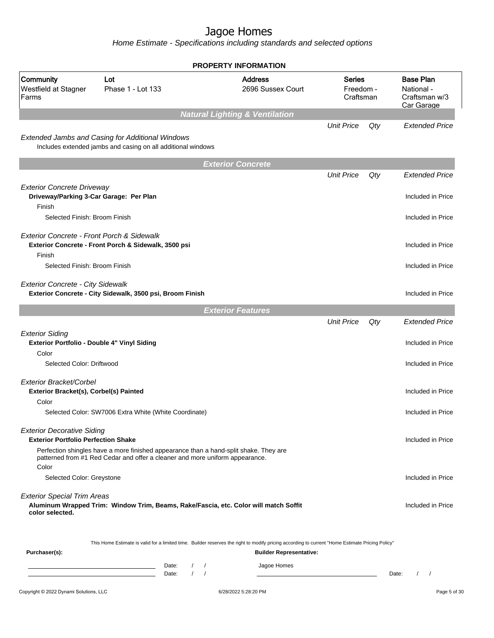|                                                                                        |                                                                                                                                                                       |                                      | <b>PROPERTY INFORMATION</b>               |                                         |     |                                                               |  |
|----------------------------------------------------------------------------------------|-----------------------------------------------------------------------------------------------------------------------------------------------------------------------|--------------------------------------|-------------------------------------------|-----------------------------------------|-----|---------------------------------------------------------------|--|
| Community<br>Westfield at Stagner<br>Farms                                             | Lot<br>Phase 1 - Lot 133                                                                                                                                              |                                      | <b>Address</b><br>2696 Sussex Court       | <b>Series</b><br>Freedom -<br>Craftsman |     | <b>Base Plan</b><br>National -<br>Craftsman w/3<br>Car Garage |  |
|                                                                                        |                                                                                                                                                                       |                                      | <b>Natural Lighting &amp; Ventilation</b> |                                         |     |                                                               |  |
|                                                                                        | Extended Jambs and Casing for Additional Windows<br>Includes extended jambs and casing on all additional windows                                                      |                                      |                                           | <b>Unit Price</b>                       | Qty | <b>Extended Price</b>                                         |  |
|                                                                                        |                                                                                                                                                                       |                                      | <b>Exterior Concrete</b>                  |                                         |     |                                                               |  |
|                                                                                        |                                                                                                                                                                       |                                      |                                           | <b>Unit Price</b>                       | Qty | <b>Extended Price</b>                                         |  |
| <b>Exterior Concrete Driveway</b><br>Driveway/Parking 3-Car Garage: Per Plan<br>Finish |                                                                                                                                                                       |                                      |                                           |                                         |     | Included in Price                                             |  |
| Selected Finish: Broom Finish                                                          |                                                                                                                                                                       |                                      |                                           |                                         |     | Included in Price                                             |  |
| Exterior Concrete - Front Porch & Sidewalk<br>Finish                                   | Exterior Concrete - Front Porch & Sidewalk, 3500 psi                                                                                                                  |                                      |                                           |                                         |     | Included in Price                                             |  |
| Selected Finish: Broom Finish                                                          |                                                                                                                                                                       |                                      |                                           |                                         |     | Included in Price                                             |  |
| <b>Exterior Concrete - City Sidewalk</b>                                               | Exterior Concrete - City Sidewalk, 3500 psi, Broom Finish                                                                                                             |                                      |                                           |                                         |     | Included in Price                                             |  |
|                                                                                        |                                                                                                                                                                       |                                      | <b>Exterior Features</b>                  |                                         |     |                                                               |  |
|                                                                                        |                                                                                                                                                                       |                                      |                                           | <b>Unit Price</b>                       | Qty | <b>Extended Price</b>                                         |  |
| <b>Exterior Siding</b><br>Exterior Portfolio - Double 4" Vinyl Siding<br>Color         |                                                                                                                                                                       |                                      |                                           |                                         |     | Included in Price                                             |  |
| Selected Color: Driftwood                                                              |                                                                                                                                                                       |                                      |                                           |                                         |     | Included in Price                                             |  |
| Exterior Bracket/Corbel<br>Exterior Bracket(s), Corbel(s) Painted                      |                                                                                                                                                                       |                                      |                                           |                                         |     | Included in Price                                             |  |
| Color                                                                                  | Selected Color: SW7006 Extra White (White Coordinate)                                                                                                                 |                                      |                                           |                                         |     | Included in Price                                             |  |
| <b>Exterior Decorative Siding</b><br><b>Exterior Portfolio Perfection Shake</b>        |                                                                                                                                                                       |                                      |                                           |                                         |     | Included in Price                                             |  |
| Color                                                                                  | Perfection shingles have a more finished appearance than a hand-split shake. They are<br>patterned from #1 Red Cedar and offer a cleaner and more uniform appearance. |                                      |                                           |                                         |     |                                                               |  |
| Selected Color: Greystone                                                              |                                                                                                                                                                       |                                      |                                           |                                         |     | Included in Price                                             |  |
| <b>Exterior Special Trim Areas</b><br>color selected.                                  | Aluminum Wrapped Trim: Window Trim, Beams, Rake/Fascia, etc. Color will match Soffit                                                                                  |                                      |                                           |                                         |     | Included in Price                                             |  |
|                                                                                        | This Home Estimate is valid for a limited time. Builder reserves the right to modify pricing according to current "Home Estimate Pricing Policy"                      |                                      |                                           |                                         |     |                                                               |  |
| Purchaser(s):                                                                          |                                                                                                                                                                       |                                      | <b>Builder Representative:</b>            |                                         |     |                                                               |  |
|                                                                                        | Date:<br>Date:                                                                                                                                                        | $\left  \right $<br>$\left  \right $ | Jagoe Homes                               |                                         |     | Date:<br>$\sqrt{2}$                                           |  |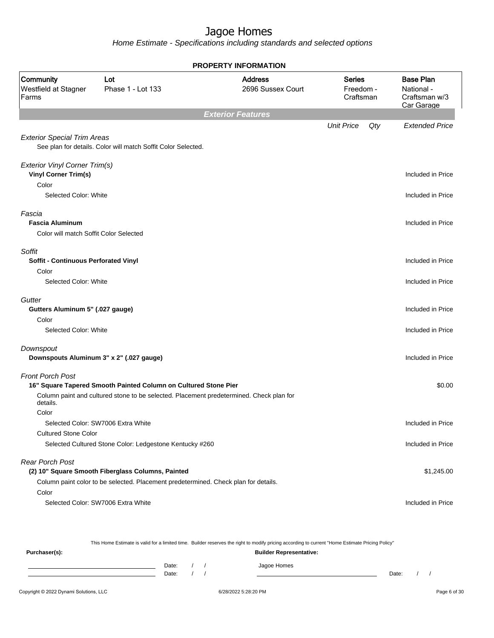Home Estimate - Specifications including standards and selected options

|                                                                            |                                                                                                                                          | <b>PROPERTY INFORMATION</b>         |                                         |                                                               |
|----------------------------------------------------------------------------|------------------------------------------------------------------------------------------------------------------------------------------|-------------------------------------|-----------------------------------------|---------------------------------------------------------------|
| Community<br>Westfield at Stagner<br>Farms                                 | Lot<br>Phase 1 - Lot 133                                                                                                                 | <b>Address</b><br>2696 Sussex Court | <b>Series</b><br>Freedom -<br>Craftsman | <b>Base Plan</b><br>National -<br>Craftsman w/3<br>Car Garage |
|                                                                            |                                                                                                                                          | <b>Exterior Features</b>            |                                         |                                                               |
| <b>Exterior Special Trim Areas</b>                                         | See plan for details. Color will match Soffit Color Selected.                                                                            |                                     | <b>Unit Price</b><br>Qty                | <b>Extended Price</b>                                         |
| Exterior Vinyl Corner Trim(s)<br><b>Vinyl Corner Trim(s)</b>               |                                                                                                                                          |                                     |                                         | Included in Price                                             |
| Color<br>Selected Color: White                                             |                                                                                                                                          |                                     |                                         | Included in Price                                             |
| Fascia<br><b>Fascia Aluminum</b><br>Color will match Soffit Color Selected |                                                                                                                                          |                                     |                                         | Included in Price                                             |
| Soffit<br>Soffit - Continuous Perforated Vinyl<br>Color                    |                                                                                                                                          |                                     |                                         | Included in Price                                             |
| Selected Color: White                                                      |                                                                                                                                          |                                     |                                         | Included in Price                                             |
| Gutter<br>Gutters Aluminum 5" (.027 gauge)<br>Color                        |                                                                                                                                          |                                     |                                         | Included in Price                                             |
| Selected Color: White                                                      |                                                                                                                                          |                                     |                                         | Included in Price                                             |
| Downspout                                                                  | Downspouts Aluminum 3" x 2" (.027 gauge)                                                                                                 |                                     |                                         | Included in Price                                             |
| <b>Front Porch Post</b>                                                    | 16" Square Tapered Smooth Painted Column on Cultured Stone Pier                                                                          |                                     |                                         | \$0.00                                                        |
| details.<br>Color                                                          | Column paint and cultured stone to be selected. Placement predetermined. Check plan for                                                  |                                     |                                         |                                                               |
|                                                                            | Selected Color: SW7006 Extra White                                                                                                       |                                     |                                         | Included in Price                                             |
| <b>Cultured Stone Color</b>                                                | Selected Cultured Stone Color: Ledgestone Kentucky #260                                                                                  |                                     |                                         | Included in Price                                             |
| <b>Rear Porch Post</b>                                                     | (2) 10" Square Smooth Fiberglass Columns, Painted<br>Column paint color to be selected. Placement predetermined. Check plan for details. |                                     |                                         | \$1,245.00                                                    |
| Color                                                                      | Selected Color: SW7006 Extra White                                                                                                       |                                     |                                         | Included in Price                                             |

This Home Estimate is valid for a limited time. Builder reserves the right to modify pricing according to current "Home Estimate Pricing Policy"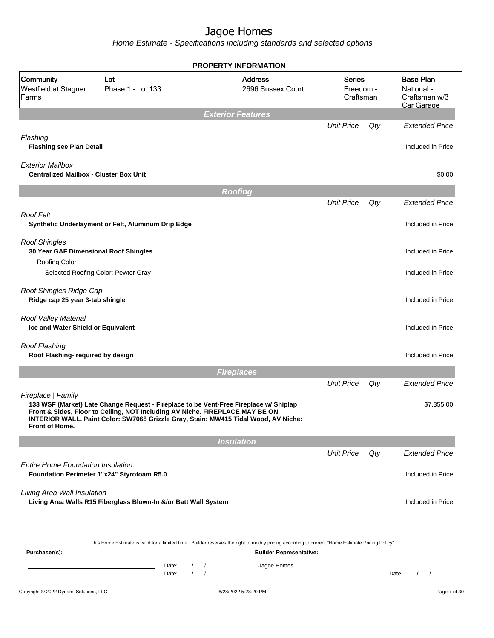|                                                                          |                                                                                                                                                                                                                                                              | <b>PROPERTY INFORMATION</b>                                                                                                                                                        |                                         |     |                                                               |
|--------------------------------------------------------------------------|--------------------------------------------------------------------------------------------------------------------------------------------------------------------------------------------------------------------------------------------------------------|------------------------------------------------------------------------------------------------------------------------------------------------------------------------------------|-----------------------------------------|-----|---------------------------------------------------------------|
| Community<br>Westfield at Stagner<br>Farms                               | Lot<br>Phase 1 - Lot 133                                                                                                                                                                                                                                     | <b>Address</b><br>2696 Sussex Court                                                                                                                                                | <b>Series</b><br>Freedom -<br>Craftsman |     | <b>Base Plan</b><br>National -<br>Craftsman w/3<br>Car Garage |
|                                                                          |                                                                                                                                                                                                                                                              | <b>Exterior Features</b>                                                                                                                                                           |                                         |     |                                                               |
| Flashing                                                                 |                                                                                                                                                                                                                                                              |                                                                                                                                                                                    | <b>Unit Price</b>                       | Qty | <b>Extended Price</b>                                         |
| <b>Flashing see Plan Detail</b>                                          |                                                                                                                                                                                                                                                              |                                                                                                                                                                                    |                                         |     | Included in Price                                             |
| <b>Exterior Mailbox</b><br><b>Centralized Mailbox - Cluster Box Unit</b> |                                                                                                                                                                                                                                                              |                                                                                                                                                                                    |                                         |     | \$0.00                                                        |
|                                                                          |                                                                                                                                                                                                                                                              | <b>Roofing</b>                                                                                                                                                                     |                                         |     |                                                               |
|                                                                          |                                                                                                                                                                                                                                                              |                                                                                                                                                                                    | <b>Unit Price</b>                       | Qty | <b>Extended Price</b>                                         |
| <b>Roof Felt</b>                                                         | Synthetic Underlayment or Felt, Aluminum Drip Edge                                                                                                                                                                                                           |                                                                                                                                                                                    |                                         |     | Included in Price                                             |
| <b>Roof Shingles</b><br>30 Year GAF Dimensional Roof Shingles            |                                                                                                                                                                                                                                                              |                                                                                                                                                                                    |                                         |     | Included in Price                                             |
| Roofing Color                                                            | Selected Roofing Color: Pewter Gray                                                                                                                                                                                                                          |                                                                                                                                                                                    |                                         |     | Included in Price                                             |
| Roof Shingles Ridge Cap<br>Ridge cap 25 year 3-tab shingle               |                                                                                                                                                                                                                                                              |                                                                                                                                                                                    |                                         |     | Included in Price                                             |
| Roof Valley Material<br>Ice and Water Shield or Equivalent               |                                                                                                                                                                                                                                                              |                                                                                                                                                                                    |                                         |     | Included in Price                                             |
| Roof Flashing<br>Roof Flashing- required by design                       |                                                                                                                                                                                                                                                              |                                                                                                                                                                                    |                                         |     | Included in Price                                             |
|                                                                          |                                                                                                                                                                                                                                                              | <b>Fireplaces</b>                                                                                                                                                                  |                                         |     |                                                               |
|                                                                          |                                                                                                                                                                                                                                                              |                                                                                                                                                                                    | <b>Unit Price</b>                       | Qty | <b>Extended Price</b>                                         |
| Fireplace   Family<br><b>Front of Home.</b>                              | 133 WSF (Market) Late Change Request - Fireplace to be Vent-Free Fireplace w/ Shiplap<br>Front & Sides, Floor to Ceiling, NOT Including AV Niche. FIREPLACE MAY BE ON<br>INTERIOR WALL. Paint Color: SW7068 Grizzle Gray, Stain: MW415 Tidal Wood, AV Niche: |                                                                                                                                                                                    |                                         |     | \$7,355.00                                                    |
|                                                                          |                                                                                                                                                                                                                                                              | <b>Insulation</b>                                                                                                                                                                  |                                         |     |                                                               |
|                                                                          |                                                                                                                                                                                                                                                              |                                                                                                                                                                                    | <b>Unit Price</b>                       | Qty | <b>Extended Price</b>                                         |
| <b>Entire Home Foundation Insulation</b>                                 | Foundation Perimeter 1"x24" Styrofoam R5.0                                                                                                                                                                                                                   |                                                                                                                                                                                    |                                         |     | Included in Price                                             |
| Living Area Wall Insulation                                              | Living Area Walls R15 Fiberglass Blown-In &/or Batt Wall System                                                                                                                                                                                              |                                                                                                                                                                                    |                                         |     | Included in Price                                             |
| Purchaser(s):                                                            |                                                                                                                                                                                                                                                              | This Home Estimate is valid for a limited time. Builder reserves the right to modify pricing according to current "Home Estimate Pricing Policy"<br><b>Builder Representative:</b> |                                         |     |                                                               |
|                                                                          | Date:<br>$\sqrt{2}$<br>$\sqrt{ }$<br>$\prime$<br>Date:                                                                                                                                                                                                       | Jagoe Homes<br>$\sqrt{ }$                                                                                                                                                          |                                         |     | Date:<br>$\prime$<br>$\overline{\phantom{a}}$                 |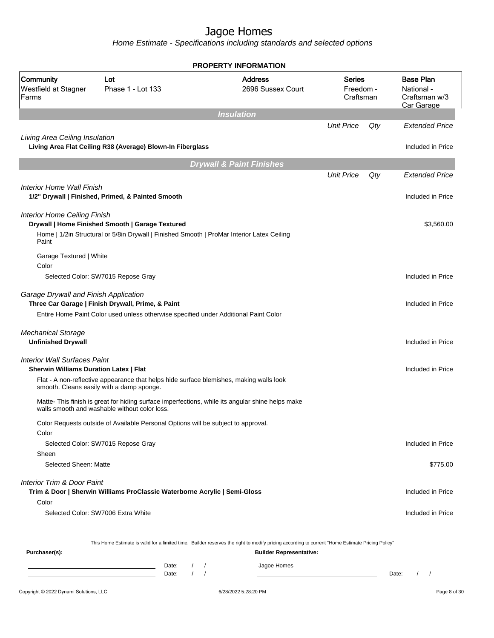|                                                                                      |                                                                                                                                                   | <b>PROPERTY INFORMATION</b>                                                                                                                      |                                         |     |                                                               |  |
|--------------------------------------------------------------------------------------|---------------------------------------------------------------------------------------------------------------------------------------------------|--------------------------------------------------------------------------------------------------------------------------------------------------|-----------------------------------------|-----|---------------------------------------------------------------|--|
| Community<br>Westfield at Stagner<br>Farms                                           | Lot<br>Phase 1 - Lot 133                                                                                                                          | <b>Address</b><br>2696 Sussex Court                                                                                                              | <b>Series</b><br>Freedom -<br>Craftsman |     | <b>Base Plan</b><br>National -<br>Craftsman w/3<br>Car Garage |  |
|                                                                                      |                                                                                                                                                   | <b>Insulation</b>                                                                                                                                |                                         |     |                                                               |  |
|                                                                                      |                                                                                                                                                   |                                                                                                                                                  | <b>Unit Price</b>                       | Qty | Extended Price                                                |  |
| Living Area Ceiling Insulation                                                       | Living Area Flat Ceiling R38 (Average) Blown-In Fiberglass                                                                                        |                                                                                                                                                  |                                         |     | Included in Price                                             |  |
|                                                                                      |                                                                                                                                                   | <b>Drywall &amp; Paint Finishes</b>                                                                                                              |                                         |     |                                                               |  |
|                                                                                      |                                                                                                                                                   |                                                                                                                                                  | <b>Unit Price</b>                       | Qty | <b>Extended Price</b>                                         |  |
| Interior Home Wall Finish                                                            | 1/2" Drywall   Finished, Primed, & Painted Smooth                                                                                                 |                                                                                                                                                  |                                         |     | Included in Price                                             |  |
| <b>Interior Home Ceiling Finish</b>                                                  | Drywall   Home Finished Smooth   Garage Textured                                                                                                  |                                                                                                                                                  |                                         |     | \$3,560.00                                                    |  |
| Paint                                                                                | Home   1/2in Structural or 5/8in Drywall   Finished Smooth   ProMar Interior Latex Ceiling                                                        |                                                                                                                                                  |                                         |     |                                                               |  |
| Garage Textured   White<br>Color                                                     |                                                                                                                                                   |                                                                                                                                                  |                                         |     |                                                               |  |
|                                                                                      | Selected Color: SW7015 Repose Gray                                                                                                                |                                                                                                                                                  |                                         |     | Included in Price                                             |  |
| Garage Drywall and Finish Application                                                | Three Car Garage   Finish Drywall, Prime, & Paint                                                                                                 |                                                                                                                                                  |                                         |     | Included in Price                                             |  |
|                                                                                      | Entire Home Paint Color used unless otherwise specified under Additional Paint Color                                                              |                                                                                                                                                  |                                         |     |                                                               |  |
| <b>Mechanical Storage</b><br><b>Unfinished Drywall</b>                               |                                                                                                                                                   |                                                                                                                                                  |                                         |     | Included in Price                                             |  |
| <b>Interior Wall Surfaces Paint</b><br><b>Sherwin Williams Duration Latex   Flat</b> |                                                                                                                                                   |                                                                                                                                                  |                                         |     | Included in Price                                             |  |
|                                                                                      | Flat - A non-reflective appearance that helps hide surface blemishes, making walls look<br>smooth. Cleans easily with a damp sponge.              |                                                                                                                                                  |                                         |     |                                                               |  |
|                                                                                      | Matte- This finish is great for hiding surface imperfections, while its angular shine helps make<br>walls smooth and washable without color loss. |                                                                                                                                                  |                                         |     |                                                               |  |
|                                                                                      | Color Requests outside of Available Personal Options will be subject to approval.                                                                 |                                                                                                                                                  |                                         |     |                                                               |  |
| Color<br>Sheen                                                                       | Selected Color: SW7015 Repose Gray                                                                                                                |                                                                                                                                                  |                                         |     | Included in Price                                             |  |
| Selected Sheen: Matte                                                                |                                                                                                                                                   |                                                                                                                                                  |                                         |     | \$775.00                                                      |  |
| Interior Trim & Door Paint                                                           | Trim & Door   Sherwin Williams ProClassic Waterborne Acrylic   Semi-Gloss                                                                         |                                                                                                                                                  |                                         |     | Included in Price                                             |  |
| Color                                                                                |                                                                                                                                                   |                                                                                                                                                  |                                         |     |                                                               |  |
|                                                                                      | Selected Color: SW7006 Extra White                                                                                                                |                                                                                                                                                  |                                         |     | Included in Price                                             |  |
|                                                                                      |                                                                                                                                                   | This Home Estimate is valid for a limited time. Builder reserves the right to modify pricing according to current "Home Estimate Pricing Policy" |                                         |     |                                                               |  |
| Purchaser(s):                                                                        |                                                                                                                                                   | <b>Builder Representative:</b>                                                                                                                   |                                         |     |                                                               |  |
|                                                                                      | Date:<br>$\left  \right $<br>$\prime$<br>Date:                                                                                                    | Jagoe Homes<br>$\sqrt{ }$                                                                                                                        |                                         |     | Date:<br>$\sqrt{ }$                                           |  |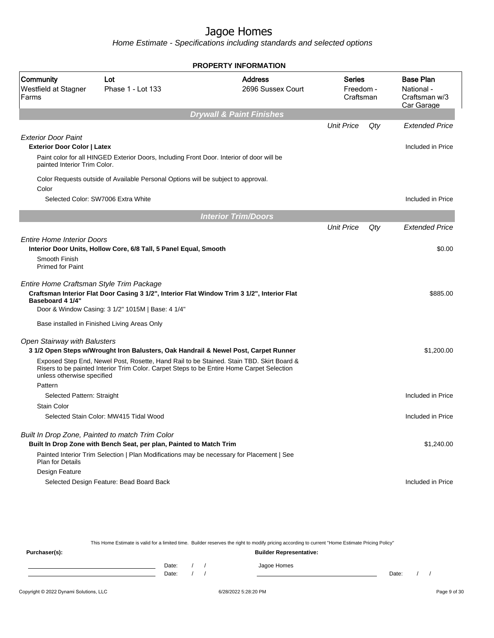Home Estimate - Specifications including standards and selected options

|                                                                               |                                                                                                                                                                                       | <b>PROPERTY INFORMATION</b>         |                                  |     |                                                               |
|-------------------------------------------------------------------------------|---------------------------------------------------------------------------------------------------------------------------------------------------------------------------------------|-------------------------------------|----------------------------------|-----|---------------------------------------------------------------|
| Community<br>Westfield at Stagner<br>Farms                                    | Lot<br>Phase 1 - Lot 133                                                                                                                                                              | Address<br>2696 Sussex Court        | Series<br>Freedom -<br>Craftsman |     | <b>Base Plan</b><br>National -<br>Craftsman w/3<br>Car Garage |
|                                                                               |                                                                                                                                                                                       | <b>Drywall &amp; Paint Finishes</b> |                                  |     |                                                               |
|                                                                               |                                                                                                                                                                                       |                                     | <b>Unit Price</b>                | Qty | <b>Extended Price</b>                                         |
| <b>Exterior Door Paint</b>                                                    |                                                                                                                                                                                       |                                     |                                  |     |                                                               |
| <b>Exterior Door Color   Latex</b>                                            |                                                                                                                                                                                       |                                     |                                  |     | Included in Price                                             |
| painted Interior Trim Color.                                                  | Paint color for all HINGED Exterior Doors, Including Front Door. Interior of door will be                                                                                             |                                     |                                  |     |                                                               |
| Color                                                                         | Color Requests outside of Available Personal Options will be subject to approval.                                                                                                     |                                     |                                  |     |                                                               |
|                                                                               | Selected Color: SW7006 Extra White                                                                                                                                                    |                                     |                                  |     | Included in Price                                             |
|                                                                               |                                                                                                                                                                                       | <b>Interior Trim/Doors</b>          |                                  |     |                                                               |
|                                                                               |                                                                                                                                                                                       |                                     | <b>Unit Price</b>                | Qty | <b>Extended Price</b>                                         |
| <b>Entire Home Interior Doors</b><br>Smooth Finish<br><b>Primed for Paint</b> | Interior Door Units, Hollow Core, 6/8 Tall, 5 Panel Equal, Smooth                                                                                                                     |                                     |                                  |     | \$0.00                                                        |
| Entire Home Craftsman Style Trim Package<br>Baseboard 4 1/4"                  | Craftsman Interior Flat Door Casing 3 1/2", Interior Flat Window Trim 3 1/2", Interior Flat<br>Door & Window Casing: 3 1/2" 1015M   Base: 4 1/4"                                      |                                     |                                  |     | \$885.00                                                      |
|                                                                               | Base installed in Finished Living Areas Only                                                                                                                                          |                                     |                                  |     |                                                               |
| Open Stairway with Balusters                                                  |                                                                                                                                                                                       |                                     |                                  |     |                                                               |
|                                                                               | 3 1/2 Open Steps w/Wrought Iron Balusters, Oak Handrail & Newel Post, Carpet Runner                                                                                                   |                                     |                                  |     | \$1,200.00                                                    |
| unless otherwise specified                                                    | Exposed Step End, Newel Post, Rosette, Hand Rail to be Stained. Stain TBD. Skirt Board &<br>Risers to be painted Interior Trim Color. Carpet Steps to be Entire Home Carpet Selection |                                     |                                  |     |                                                               |
| Pattern                                                                       |                                                                                                                                                                                       |                                     |                                  |     |                                                               |
| Selected Pattern: Straight                                                    |                                                                                                                                                                                       |                                     |                                  |     | Included in Price                                             |
| <b>Stain Color</b>                                                            |                                                                                                                                                                                       |                                     |                                  |     |                                                               |
|                                                                               | Selected Stain Color: MW415 Tidal Wood                                                                                                                                                |                                     |                                  |     | Included in Price                                             |
|                                                                               | Built In Drop Zone, Painted to match Trim Color                                                                                                                                       |                                     |                                  |     |                                                               |
|                                                                               | Built In Drop Zone with Bench Seat, per plan, Painted to Match Trim                                                                                                                   |                                     |                                  |     | \$1,240.00                                                    |
| <b>Plan for Details</b>                                                       | Painted Interior Trim Selection   Plan Modifications may be necessary for Placement   See                                                                                             |                                     |                                  |     |                                                               |
| Design Feature                                                                |                                                                                                                                                                                       |                                     |                                  |     |                                                               |
|                                                                               | Selected Design Feature: Bead Board Back                                                                                                                                              |                                     |                                  |     | Included in Price                                             |

This Home Estimate is valid for a limited time. Builder reserves the right to modify pricing according to current "Home Estimate Pricing Policy"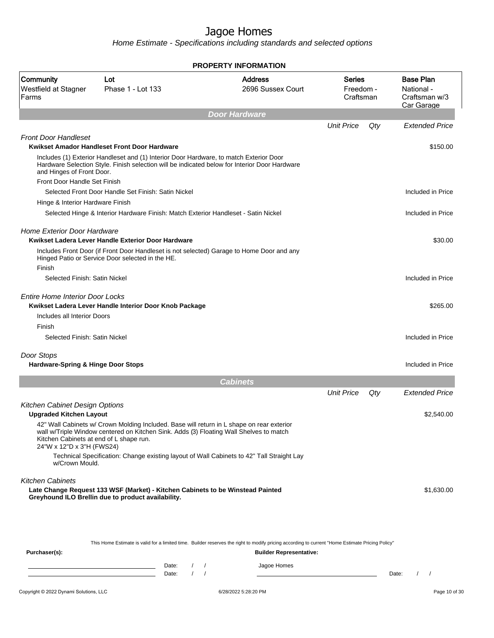|                                                                      |                                                                                                                                                                                         | <b>PROPERTY INFORMATION</b>                                                                                                                                                                       |                                         |     |                                                               |
|----------------------------------------------------------------------|-----------------------------------------------------------------------------------------------------------------------------------------------------------------------------------------|---------------------------------------------------------------------------------------------------------------------------------------------------------------------------------------------------|-----------------------------------------|-----|---------------------------------------------------------------|
| Community<br>Westfield at Stagner<br>Farms                           | Lot<br>Phase 1 - Lot 133                                                                                                                                                                | <b>Address</b><br>2696 Sussex Court                                                                                                                                                               | <b>Series</b><br>Freedom -<br>Craftsman |     | <b>Base Plan</b><br>National -<br>Craftsman w/3<br>Car Garage |
|                                                                      |                                                                                                                                                                                         | <b>Door Hardware</b>                                                                                                                                                                              |                                         |     |                                                               |
|                                                                      |                                                                                                                                                                                         |                                                                                                                                                                                                   | <b>Unit Price</b>                       | Qty | <b>Extended Price</b>                                         |
| <b>Front Door Handleset</b>                                          | Kwikset Amador Handleset Front Door Hardware                                                                                                                                            |                                                                                                                                                                                                   |                                         |     | \$150.00                                                      |
| and Hinges of Front Door.                                            | Includes (1) Exterior Handleset and (1) Interior Door Hardware, to match Exterior Door<br>Hardware Selection Style. Finish selection will be indicated below for Interior Door Hardware |                                                                                                                                                                                                   |                                         |     |                                                               |
| Front Door Handle Set Finish                                         |                                                                                                                                                                                         |                                                                                                                                                                                                   |                                         |     |                                                               |
|                                                                      | Selected Front Door Handle Set Finish: Satin Nickel                                                                                                                                     |                                                                                                                                                                                                   |                                         |     | Included in Price                                             |
| Hinge & Interior Hardware Finish                                     |                                                                                                                                                                                         |                                                                                                                                                                                                   |                                         |     |                                                               |
|                                                                      | Selected Hinge & Interior Hardware Finish: Match Exterior Handleset - Satin Nickel                                                                                                      |                                                                                                                                                                                                   |                                         |     | Included in Price                                             |
| <b>Home Exterior Door Hardware</b>                                   | Kwikset Ladera Lever Handle Exterior Door Hardware<br>Includes Front Door (if Front Door Handleset is not selected) Garage to Home Door and any                                         |                                                                                                                                                                                                   |                                         |     | \$30.00                                                       |
| Finish<br>Selected Finish: Satin Nickel                              | Hinged Patio or Service Door selected in the HE.                                                                                                                                        |                                                                                                                                                                                                   |                                         |     | Included in Price                                             |
|                                                                      |                                                                                                                                                                                         |                                                                                                                                                                                                   |                                         |     |                                                               |
| <b>Entire Home Interior Door Locks</b>                               | Kwikset Ladera Lever Handle Interior Door Knob Package                                                                                                                                  |                                                                                                                                                                                                   |                                         |     | \$265.00                                                      |
| Includes all Interior Doors<br>Finish                                |                                                                                                                                                                                         |                                                                                                                                                                                                   |                                         |     |                                                               |
| Selected Finish: Satin Nickel                                        |                                                                                                                                                                                         |                                                                                                                                                                                                   |                                         |     | Included in Price                                             |
| Door Stops<br><b>Hardware-Spring &amp; Hinge Door Stops</b>          |                                                                                                                                                                                         |                                                                                                                                                                                                   |                                         |     | Included in Price                                             |
|                                                                      |                                                                                                                                                                                         | <b>Cabinets</b>                                                                                                                                                                                   |                                         |     |                                                               |
|                                                                      |                                                                                                                                                                                         |                                                                                                                                                                                                   | <b>Unit Price</b>                       | Qty | <b>Extended Price</b>                                         |
| Kitchen Cabinet Design Options                                       |                                                                                                                                                                                         |                                                                                                                                                                                                   |                                         |     |                                                               |
| <b>Upgraded Kitchen Layout</b>                                       |                                                                                                                                                                                         |                                                                                                                                                                                                   |                                         |     | \$2,540.00                                                    |
| Kitchen Cabinets at end of L shape run.<br>24"W x 12"D x 3"H (FWS24) | 42" Wall Cabinets w/ Crown Molding Included. Base will return in L shape on rear exterior<br>wall w/Triple Window centered on Kitchen Sink. Adds (3) Floating Wall Shelves to match     |                                                                                                                                                                                                   |                                         |     |                                                               |
| w/Crown Mould.                                                       | Technical Specification: Change existing layout of Wall Cabinets to 42" Tall Straight Lay                                                                                               |                                                                                                                                                                                                   |                                         |     |                                                               |
| <b>Kitchen Cabinets</b>                                              | Late Change Request 133 WSF (Market) - Kitchen Cabinets to be Winstead Painted<br>Greyhound ILO Brellin due to product availability.                                                    |                                                                                                                                                                                                   |                                         |     | \$1,630.00                                                    |
| Purchaser(s):                                                        | Date:<br>$\left  \right $<br><u> 1989 - Johann Barn, mars et al. (b. 1989)</u>                                                                                                          | This Home Estimate is valid for a limited time. Builder reserves the right to modify pricing according to current "Home Estimate Pricing Policy"<br><b>Builder Representative:</b><br>Jagoe Homes |                                         |     |                                                               |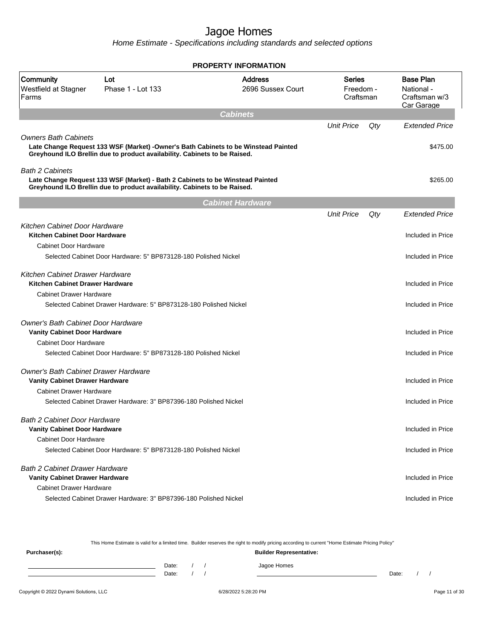Home Estimate - Specifications including standards and selected options

|                                                                                |                                                                                                                                                                 | <b>PROPERTY INFORMATION</b>         |                                         |     |                                                               |
|--------------------------------------------------------------------------------|-----------------------------------------------------------------------------------------------------------------------------------------------------------------|-------------------------------------|-----------------------------------------|-----|---------------------------------------------------------------|
| Community<br>Westfield at Stagner<br>Farms                                     | Lot<br>Phase 1 - Lot 133                                                                                                                                        | <b>Address</b><br>2696 Sussex Court | <b>Series</b><br>Freedom -<br>Craftsman |     | <b>Base Plan</b><br>National -<br>Craftsman w/3<br>Car Garage |
|                                                                                |                                                                                                                                                                 | <b>Cabinets</b>                     |                                         |     |                                                               |
|                                                                                |                                                                                                                                                                 |                                     | <b>Unit Price</b>                       | Qty | <b>Extended Price</b>                                         |
| Owners Bath Cabinets                                                           | Late Change Request 133 WSF (Market) -Owner's Bath Cabinets to be Winstead Painted<br>Greyhound ILO Brellin due to product availability. Cabinets to be Raised. |                                     |                                         |     | \$475.00                                                      |
| <b>Bath 2 Cabinets</b>                                                         | Late Change Request 133 WSF (Market) - Bath 2 Cabinets to be Winstead Painted<br>Greyhound ILO Brellin due to product availability. Cabinets to be Raised.      |                                     |                                         |     | \$265.00                                                      |
|                                                                                |                                                                                                                                                                 | <b>Cabinet Hardware</b>             |                                         |     |                                                               |
|                                                                                |                                                                                                                                                                 |                                     | <b>Unit Price</b>                       | Qty | <b>Extended Price</b>                                         |
| Kitchen Cabinet Door Hardware<br>Kitchen Cabinet Door Hardware                 |                                                                                                                                                                 |                                     |                                         |     | Included in Price                                             |
| Cabinet Door Hardware                                                          |                                                                                                                                                                 |                                     |                                         |     |                                                               |
|                                                                                | Selected Cabinet Door Hardware: 5" BP873128-180 Polished Nickel                                                                                                 |                                     |                                         |     | Included in Price                                             |
| Kitchen Cabinet Drawer Hardware<br>Kitchen Cabinet Drawer Hardware             |                                                                                                                                                                 |                                     |                                         |     | Included in Price                                             |
| <b>Cabinet Drawer Hardware</b>                                                 |                                                                                                                                                                 |                                     |                                         |     |                                                               |
|                                                                                | Selected Cabinet Drawer Hardware: 5" BP873128-180 Polished Nickel                                                                                               |                                     |                                         |     | Included in Price                                             |
| Owner's Bath Cabinet Door Hardware<br><b>Vanity Cabinet Door Hardware</b>      |                                                                                                                                                                 |                                     |                                         |     | Included in Price                                             |
| <b>Cabinet Door Hardware</b>                                                   |                                                                                                                                                                 |                                     |                                         |     |                                                               |
|                                                                                | Selected Cabinet Door Hardware: 5" BP873128-180 Polished Nickel                                                                                                 |                                     |                                         |     | Included in Price                                             |
| Owner's Bath Cabinet Drawer Hardware<br><b>Vanity Cabinet Drawer Hardware</b>  |                                                                                                                                                                 |                                     |                                         |     | Included in Price                                             |
| <b>Cabinet Drawer Hardware</b>                                                 |                                                                                                                                                                 |                                     |                                         |     |                                                               |
|                                                                                | Selected Cabinet Drawer Hardware: 3" BP87396-180 Polished Nickel                                                                                                |                                     |                                         |     | Included in Price                                             |
| <b>Bath 2 Cabinet Door Hardware</b><br><b>Vanity Cabinet Door Hardware</b>     |                                                                                                                                                                 |                                     |                                         |     | Included in Price                                             |
| <b>Cabinet Door Hardware</b>                                                   | Selected Cabinet Door Hardware: 5" BP873128-180 Polished Nickel                                                                                                 |                                     |                                         |     | Included in Price                                             |
| <b>Bath 2 Cabinet Drawer Hardware</b><br><b>Vanity Cabinet Drawer Hardware</b> |                                                                                                                                                                 |                                     |                                         |     | Included in Price                                             |
| <b>Cabinet Drawer Hardware</b>                                                 | Selected Cabinet Drawer Hardware: 3" BP87396-180 Polished Nickel                                                                                                |                                     |                                         |     | Included in Price                                             |

This Home Estimate is valid for a limited time. Builder reserves the right to modify pricing according to current "Home Estimate Pricing Policy" **Purchaser(s): Builder Representative:** Date: / / Jagoe Homes<br>Date: / / Jagoe Homes Date: / / Date: / /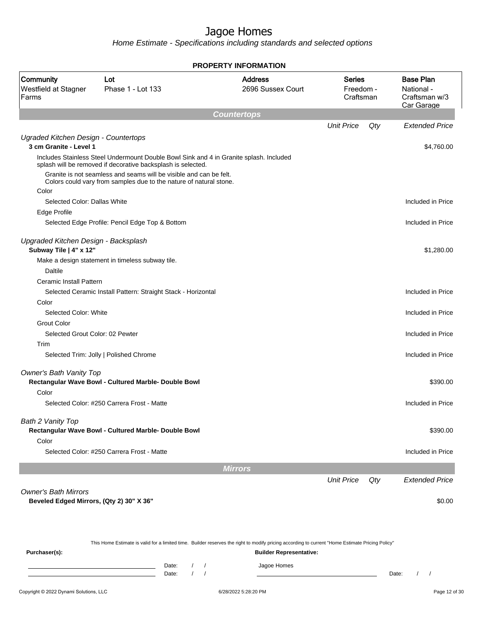Home Estimate - Specifications including standards and selected options

|                                                                         |                                                                                                                                                        | <b>PROPERTY INFORMATION</b>         |                                         |     |                                                               |
|-------------------------------------------------------------------------|--------------------------------------------------------------------------------------------------------------------------------------------------------|-------------------------------------|-----------------------------------------|-----|---------------------------------------------------------------|
| Community<br>Westfield at Stagner<br>Farms                              | Lot<br>Phase 1 - Lot 133                                                                                                                               | <b>Address</b><br>2696 Sussex Court | <b>Series</b><br>Freedom -<br>Craftsman |     | <b>Base Plan</b><br>National -<br>Craftsman w/3<br>Car Garage |
|                                                                         |                                                                                                                                                        | <b>Countertops</b>                  |                                         |     |                                                               |
|                                                                         |                                                                                                                                                        |                                     | <b>Unit Price</b>                       | Qty | <b>Extended Price</b>                                         |
| Ugraded Kitchen Design - Countertops<br>3 cm Granite - Level 1          |                                                                                                                                                        |                                     |                                         |     | \$4,760.00                                                    |
|                                                                         | Includes Stainless Steel Undermount Double Bowl Sink and 4 in Granite splash. Included<br>splash will be removed if decorative backsplash is selected. |                                     |                                         |     |                                                               |
|                                                                         | Granite is not seamless and seams will be visible and can be felt.<br>Colors could vary from samples due to the nature of natural stone.               |                                     |                                         |     |                                                               |
| Color                                                                   |                                                                                                                                                        |                                     |                                         |     |                                                               |
| Selected Color: Dallas White                                            |                                                                                                                                                        |                                     |                                         |     | Included in Price                                             |
| Edge Profile                                                            |                                                                                                                                                        |                                     |                                         |     |                                                               |
|                                                                         | Selected Edge Profile: Pencil Edge Top & Bottom                                                                                                        |                                     |                                         |     | Included in Price                                             |
| Upgraded Kitchen Design - Backsplash<br>Subway Tile   4" x 12"          |                                                                                                                                                        |                                     |                                         |     | \$1,280.00                                                    |
|                                                                         | Make a design statement in timeless subway tile.                                                                                                       |                                     |                                         |     |                                                               |
| Daltile                                                                 |                                                                                                                                                        |                                     |                                         |     |                                                               |
| Ceramic Install Pattern                                                 |                                                                                                                                                        |                                     |                                         |     |                                                               |
|                                                                         | Selected Ceramic Install Pattern: Straight Stack - Horizontal                                                                                          |                                     |                                         |     | Included in Price                                             |
| Color<br>Selected Color: White                                          |                                                                                                                                                        |                                     |                                         |     | Included in Price                                             |
| <b>Grout Color</b>                                                      |                                                                                                                                                        |                                     |                                         |     |                                                               |
| Selected Grout Color: 02 Pewter                                         |                                                                                                                                                        |                                     |                                         |     | Included in Price                                             |
| Trim                                                                    |                                                                                                                                                        |                                     |                                         |     |                                                               |
|                                                                         | Selected Trim: Jolly   Polished Chrome                                                                                                                 |                                     |                                         |     | Included in Price                                             |
| Owner's Bath Vanity Top                                                 | Rectangular Wave Bowl - Cultured Marble- Double Bowl                                                                                                   |                                     |                                         |     | \$390.00                                                      |
| Color                                                                   |                                                                                                                                                        |                                     |                                         |     |                                                               |
|                                                                         | Selected Color: #250 Carrera Frost - Matte                                                                                                             |                                     |                                         |     | Included in Price                                             |
| Bath 2 Vanity Top                                                       |                                                                                                                                                        |                                     |                                         |     |                                                               |
|                                                                         | Rectangular Wave Bowl - Cultured Marble- Double Bowl                                                                                                   |                                     |                                         |     | \$390.00                                                      |
| Color                                                                   |                                                                                                                                                        |                                     |                                         |     |                                                               |
|                                                                         | Selected Color: #250 Carrera Frost - Matte                                                                                                             |                                     |                                         |     | Included in Price                                             |
|                                                                         |                                                                                                                                                        | <b>Mirrors</b>                      |                                         |     |                                                               |
|                                                                         |                                                                                                                                                        |                                     | <b>Unit Price</b>                       | Qty | <b>Extended Price</b>                                         |
| <b>Owner's Bath Mirrors</b><br>Beveled Edged Mirrors, (Qty 2) 30" X 36" |                                                                                                                                                        |                                     |                                         |     | \$0.00                                                        |
|                                                                         |                                                                                                                                                        |                                     |                                         |     |                                                               |

Copyright © 2022 Dynami Solutions, LLC <br>
6/28/2022 5:28:20 PM Page 12 of 30 This Home Estimate is valid for a limited time. Builder reserves the right to modify pricing according to current "Home Estimate Pricing Policy" **Purchaser(s): Builder Representative:** Date: / / Jagoe Homes<br>Date: / / Jagoe Homes Date: / / **Date: / / 2006** Date: / / / Date: / / / Date: / / / 2006 Date: / / / 2006 Date: / / / 2006 Date: / / / 2006 Date: / / / 2007 Date: / / / 2007 Date: / / / 2007 Date: / / / 2007 Date: / / / 2007 Date: / / / 2007 D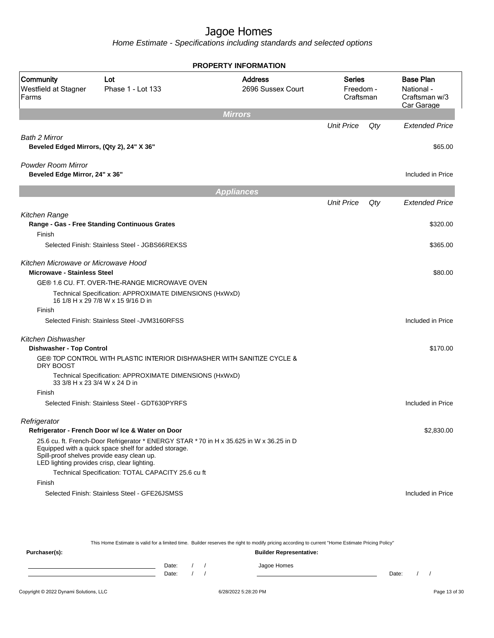Home Estimate - Specifications including standards and selected options

|                                                                           |                                                                                                                                                                                                                                               | <b>PROPERTY INFORMATION</b>         |                                  |     |                                                               |
|---------------------------------------------------------------------------|-----------------------------------------------------------------------------------------------------------------------------------------------------------------------------------------------------------------------------------------------|-------------------------------------|----------------------------------|-----|---------------------------------------------------------------|
| <b>Community</b><br>Westfield at Stagner<br>Farms                         | Lot<br>Phase 1 - Lot 133                                                                                                                                                                                                                      | <b>Address</b><br>2696 Sussex Court | Series<br>Freedom -<br>Craftsman |     | <b>Base Plan</b><br>National -<br>Craftsman w/3<br>Car Garage |
|                                                                           |                                                                                                                                                                                                                                               | <b>Mirrors</b>                      |                                  |     |                                                               |
|                                                                           |                                                                                                                                                                                                                                               |                                     | <b>Unit Price</b>                | Qty | <b>Extended Price</b>                                         |
| <b>Bath 2 Mirror</b><br>Beveled Edged Mirrors, (Qty 2), 24" X 36"         |                                                                                                                                                                                                                                               |                                     |                                  |     | \$65.00                                                       |
| Powder Room Mirror<br>Beveled Edge Mirror, 24" x 36"                      |                                                                                                                                                                                                                                               |                                     |                                  |     | Included in Price                                             |
|                                                                           |                                                                                                                                                                                                                                               | <b>Appliances</b>                   |                                  |     |                                                               |
|                                                                           |                                                                                                                                                                                                                                               |                                     | <b>Unit Price</b>                | Qty | <b>Extended Price</b>                                         |
| Kitchen Range<br>Finish                                                   | Range - Gas - Free Standing Continuous Grates                                                                                                                                                                                                 |                                     |                                  |     | \$320.00                                                      |
|                                                                           | Selected Finish: Stainless Steel - JGBS66REKSS                                                                                                                                                                                                |                                     |                                  |     | \$365.00                                                      |
|                                                                           |                                                                                                                                                                                                                                               |                                     |                                  |     |                                                               |
| Kitchen Microwave or Microwave Hood<br><b>Microwave - Stainless Steel</b> |                                                                                                                                                                                                                                               |                                     |                                  |     | \$80.00                                                       |
|                                                                           | GE® 1.6 CU. FT. OVER-THE-RANGE MICROWAVE OVEN                                                                                                                                                                                                 |                                     |                                  |     |                                                               |
|                                                                           | Technical Specification: APPROXIMATE DIMENSIONS (HxWxD)<br>16 1/8 H x 29 7/8 W x 15 9/16 D in                                                                                                                                                 |                                     |                                  |     |                                                               |
| Finish                                                                    |                                                                                                                                                                                                                                               |                                     |                                  |     |                                                               |
|                                                                           | Selected Finish: Stainless Steel - JVM3160RFSS                                                                                                                                                                                                |                                     |                                  |     | Included in Price                                             |
| Kitchen Dishwasher                                                        |                                                                                                                                                                                                                                               |                                     |                                  |     |                                                               |
| Dishwasher - Top Control                                                  |                                                                                                                                                                                                                                               |                                     |                                  |     | \$170.00                                                      |
| DRY BOOST                                                                 | GE® TOP CONTROL WITH PLASTIC INTERIOR DISHWASHER WITH SANITIZE CYCLE &                                                                                                                                                                        |                                     |                                  |     |                                                               |
|                                                                           | Technical Specification: APPROXIMATE DIMENSIONS (HxWxD)<br>33 3/8 H x 23 3/4 W x 24 D in                                                                                                                                                      |                                     |                                  |     |                                                               |
| Finish                                                                    |                                                                                                                                                                                                                                               |                                     |                                  |     |                                                               |
|                                                                           | Selected Finish: Stainless Steel - GDT630PYRFS                                                                                                                                                                                                |                                     |                                  |     | Included in Price                                             |
| Refrigerator                                                              | Refrigerator - French Door w/ Ice & Water on Door                                                                                                                                                                                             |                                     |                                  |     | \$2,830.00                                                    |
|                                                                           | 25.6 cu. ft. French-Door Refrigerator * ENERGY STAR *70 in H x 35.625 in W x 36.25 in D<br>Equipped with a quick space shelf for added storage.<br>Spill-proof shelves provide easy clean up.<br>LED lighting provides crisp, clear lighting. |                                     |                                  |     |                                                               |
|                                                                           | Technical Specification: TOTAL CAPACITY 25.6 cu ft                                                                                                                                                                                            |                                     |                                  |     |                                                               |
| Finish                                                                    |                                                                                                                                                                                                                                               |                                     |                                  |     |                                                               |
|                                                                           | Selected Finish: Stainless Steel - GFE26JSMSS                                                                                                                                                                                                 |                                     |                                  |     | Included in Price                                             |

This Home Estimate is valid for a limited time. Builder reserves the right to modify pricing according to current "Home Estimate Pricing Policy"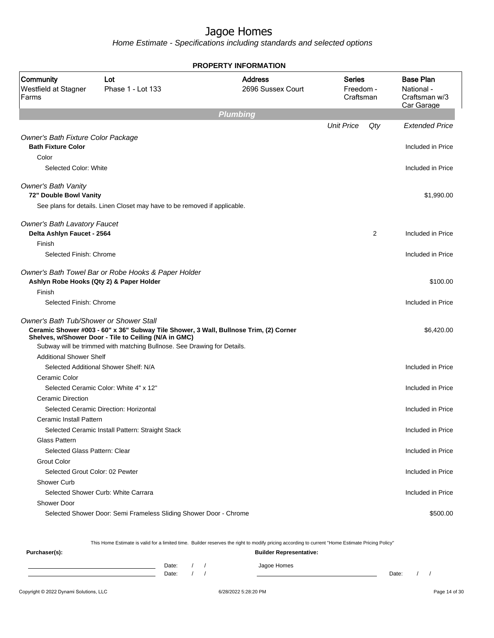Home Estimate - Specifications including standards and selected options

|                                                                   |                                                                                                                                                                                                                           | <b>PROPERTY INFORMATION</b>         |                                  |     |                                                               |
|-------------------------------------------------------------------|---------------------------------------------------------------------------------------------------------------------------------------------------------------------------------------------------------------------------|-------------------------------------|----------------------------------|-----|---------------------------------------------------------------|
| Community<br>Westfield at Stagner<br>Farms                        | Lot<br>Phase 1 - Lot 133                                                                                                                                                                                                  | <b>Address</b><br>2696 Sussex Court | Series<br>Freedom -<br>Craftsman |     | <b>Base Plan</b><br>National -<br>Craftsman w/3<br>Car Garage |
|                                                                   |                                                                                                                                                                                                                           | <b>Plumbing</b>                     |                                  |     |                                                               |
|                                                                   |                                                                                                                                                                                                                           |                                     | <b>Unit Price</b>                | Qty | <b>Extended Price</b>                                         |
| Owner's Bath Fixture Color Package<br><b>Bath Fixture Color</b>   |                                                                                                                                                                                                                           |                                     |                                  |     | Included in Price                                             |
| Color                                                             |                                                                                                                                                                                                                           |                                     |                                  |     |                                                               |
| Selected Color: White                                             |                                                                                                                                                                                                                           |                                     |                                  |     | Included in Price                                             |
| <b>Owner's Bath Vanity</b><br>72" Double Bowl Vanity              |                                                                                                                                                                                                                           |                                     |                                  |     | \$1,990.00                                                    |
|                                                                   | See plans for details. Linen Closet may have to be removed if applicable.                                                                                                                                                 |                                     |                                  |     |                                                               |
|                                                                   |                                                                                                                                                                                                                           |                                     |                                  |     |                                                               |
| <b>Owner's Bath Lavatory Faucet</b><br>Delta Ashlyn Faucet - 2564 |                                                                                                                                                                                                                           |                                     |                                  | 2   | Included in Price                                             |
| Finish<br>Selected Finish: Chrome                                 |                                                                                                                                                                                                                           |                                     |                                  |     | Included in Price                                             |
|                                                                   |                                                                                                                                                                                                                           |                                     |                                  |     |                                                               |
| Ashlyn Robe Hooks (Qty 2) & Paper Holder                          | Owner's Bath Towel Bar or Robe Hooks & Paper Holder                                                                                                                                                                       |                                     |                                  |     | \$100.00                                                      |
| Finish                                                            |                                                                                                                                                                                                                           |                                     |                                  |     |                                                               |
| Selected Finish: Chrome                                           |                                                                                                                                                                                                                           |                                     |                                  |     | Included in Price                                             |
| <b>Owner's Bath Tub/Shower or Shower Stall</b>                    | Ceramic Shower #003 - 60" x 36" Subway Tile Shower, 3 Wall, Bullnose Trim, (2) Corner<br>Shelves, w/Shower Door - Tile to Ceiling (N/A in GMC)<br>Subway will be trimmed with matching Bullnose. See Drawing for Details. |                                     |                                  |     | \$6,420.00                                                    |
| <b>Additional Shower Shelf</b>                                    |                                                                                                                                                                                                                           |                                     |                                  |     |                                                               |
|                                                                   | Selected Additional Shower Shelf: N/A                                                                                                                                                                                     |                                     |                                  |     | Included in Price                                             |
| Ceramic Color                                                     |                                                                                                                                                                                                                           |                                     |                                  |     |                                                               |
|                                                                   | Selected Ceramic Color: White 4" x 12"                                                                                                                                                                                    |                                     |                                  |     | Included in Price                                             |
| Ceramic Direction                                                 |                                                                                                                                                                                                                           |                                     |                                  |     |                                                               |
|                                                                   | Selected Ceramic Direction: Horizontal                                                                                                                                                                                    |                                     |                                  |     | Included in Price                                             |
| Ceramic Install Pattern                                           |                                                                                                                                                                                                                           |                                     |                                  |     |                                                               |
| Glass Pattern                                                     | Selected Ceramic Install Pattern: Straight Stack                                                                                                                                                                          |                                     |                                  |     | Included in Price                                             |
| Selected Glass Pattern: Clear                                     |                                                                                                                                                                                                                           |                                     |                                  |     | Included in Price                                             |
| <b>Grout Color</b>                                                |                                                                                                                                                                                                                           |                                     |                                  |     |                                                               |
| Selected Grout Color: 02 Pewter                                   |                                                                                                                                                                                                                           |                                     |                                  |     | Included in Price                                             |
| Shower Curb                                                       |                                                                                                                                                                                                                           |                                     |                                  |     |                                                               |
|                                                                   |                                                                                                                                                                                                                           |                                     |                                  |     | Included in Price                                             |
|                                                                   |                                                                                                                                                                                                                           |                                     |                                  |     |                                                               |
| Selected Shower Curb: White Carrara<br><b>Shower Door</b>         |                                                                                                                                                                                                                           |                                     |                                  |     |                                                               |

This Home Estimate is valid for a limited time. Builder reserves the right to modify pricing according to current "Home Estimate Pricing Policy"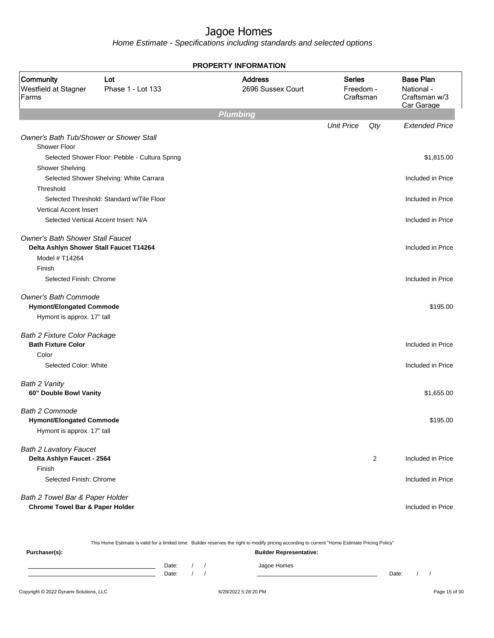Home Estimate - Specifications including standards and selected options

| <b>PROPERTY INFORMATION</b>                                                        |                                                |                                     |                                         |                |                                                               |  |  |
|------------------------------------------------------------------------------------|------------------------------------------------|-------------------------------------|-----------------------------------------|----------------|---------------------------------------------------------------|--|--|
| Community<br>Westfield at Stagner<br>Farms                                         | Lot<br>Phase 1 - Lot 133                       | <b>Address</b><br>2696 Sussex Court | <b>Series</b><br>Freedom -<br>Craftsman |                | <b>Base Plan</b><br>National -<br>Craftsman w/3<br>Car Garage |  |  |
|                                                                                    |                                                | <b>Plumbing</b>                     |                                         |                |                                                               |  |  |
|                                                                                    |                                                |                                     | <b>Unit Price</b>                       | Qty            | <b>Extended Price</b>                                         |  |  |
| <b>Owner's Bath Tub/Shower or Shower Stall</b><br>Shower Floor                     |                                                |                                     |                                         |                |                                                               |  |  |
|                                                                                    | Selected Shower Floor: Pebble - Cultura Spring |                                     |                                         |                | \$1,815.00                                                    |  |  |
| <b>Shower Shelving</b>                                                             |                                                |                                     |                                         |                |                                                               |  |  |
|                                                                                    | Selected Shower Shelving: White Carrara        |                                     |                                         |                | Included in Price                                             |  |  |
| Threshold                                                                          |                                                |                                     |                                         |                |                                                               |  |  |
|                                                                                    | Selected Threshold: Standard w/Tile Floor      |                                     |                                         |                | Included in Price                                             |  |  |
| <b>Vertical Accent Insert</b>                                                      |                                                |                                     |                                         |                |                                                               |  |  |
|                                                                                    | Selected Vertical Accent Insert: N/A           |                                     |                                         |                | Included in Price                                             |  |  |
| <b>Owner's Bath Shower Stall Faucet</b><br>Delta Ashlyn Shower Stall Faucet T14264 |                                                |                                     |                                         |                | Included in Price                                             |  |  |
| Model # T14264                                                                     |                                                |                                     |                                         |                |                                                               |  |  |
| Finish                                                                             |                                                |                                     |                                         |                |                                                               |  |  |
| Selected Finish: Chrome                                                            |                                                |                                     |                                         |                | Included in Price                                             |  |  |
| <b>Owner's Bath Commode</b><br><b>Hymont/Elongated Commode</b>                     |                                                |                                     |                                         |                | \$195.00                                                      |  |  |
| Hymont is approx. 17" tall                                                         |                                                |                                     |                                         |                |                                                               |  |  |
| <b>Bath 2 Fixture Color Package</b>                                                |                                                |                                     |                                         |                |                                                               |  |  |
| <b>Bath Fixture Color</b>                                                          |                                                |                                     |                                         |                | Included in Price                                             |  |  |
| Color                                                                              |                                                |                                     |                                         |                |                                                               |  |  |
| Selected Color: White                                                              |                                                |                                     |                                         |                | Included in Price                                             |  |  |
| Bath 2 Vanity                                                                      |                                                |                                     |                                         |                |                                                               |  |  |
| 60" Double Bowl Vanity                                                             |                                                |                                     |                                         |                | \$1,655.00                                                    |  |  |
| <b>Bath 2 Commode</b>                                                              |                                                |                                     |                                         |                |                                                               |  |  |
| <b>Hymont/Elongated Commode</b>                                                    |                                                |                                     |                                         |                | \$195.00                                                      |  |  |
| Hymont is approx. 17" tall                                                         |                                                |                                     |                                         |                |                                                               |  |  |
| <b>Bath 2 Lavatory Faucet</b>                                                      |                                                |                                     |                                         |                |                                                               |  |  |
| Delta Ashlyn Faucet - 2564                                                         |                                                |                                     |                                         | $\overline{2}$ | Included in Price                                             |  |  |
| Finish                                                                             |                                                |                                     |                                         |                |                                                               |  |  |
| Selected Finish: Chrome                                                            |                                                |                                     |                                         |                | Included in Price                                             |  |  |
| Bath 2 Towel Bar & Paper Holder                                                    |                                                |                                     |                                         |                |                                                               |  |  |
| <b>Chrome Towel Bar &amp; Paper Holder</b>                                         |                                                |                                     |                                         |                | Included in Price                                             |  |  |

This Home Estimate is valid for a limited time. Builder reserves the right to modify pricing according to current "Home Estimate Pricing Policy"

| Purchaser(s): |                |  | <b>Builder Representative:</b> |       |  |
|---------------|----------------|--|--------------------------------|-------|--|
|               | Date:<br>Date: |  | Jagoe Homes                    | Date: |  |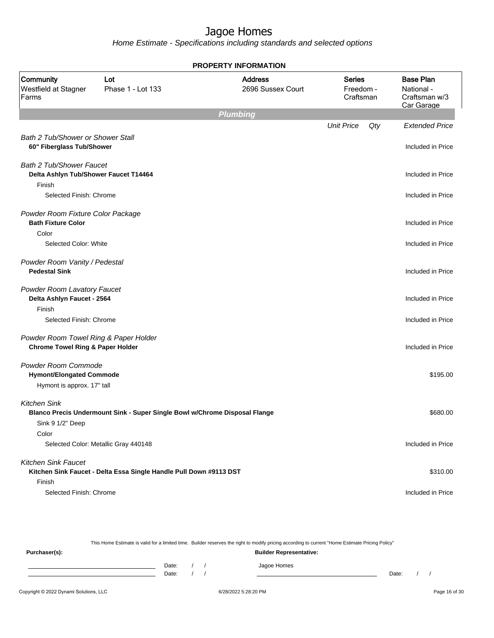Home Estimate - Specifications including standards and selected options

|                                                                                      |                                                                            | <b>PROPERTY INFORMATION</b>         |                                         |     |                                                               |
|--------------------------------------------------------------------------------------|----------------------------------------------------------------------------|-------------------------------------|-----------------------------------------|-----|---------------------------------------------------------------|
| Community<br>Westfield at Stagner<br>Farms                                           | Lot<br>Phase 1 - Lot 133                                                   | <b>Address</b><br>2696 Sussex Court | <b>Series</b><br>Freedom -<br>Craftsman |     | <b>Base Plan</b><br>National -<br>Craftsman w/3<br>Car Garage |
|                                                                                      |                                                                            | <b>Plumbing</b>                     |                                         |     |                                                               |
|                                                                                      |                                                                            |                                     | <b>Unit Price</b>                       | Qty | <b>Extended Price</b>                                         |
| <b>Bath 2 Tub/Shower or Shower Stall</b><br>60" Fiberglass Tub/Shower                |                                                                            |                                     |                                         |     | Included in Price                                             |
| <b>Bath 2 Tub/Shower Faucet</b><br>Delta Ashlyn Tub/Shower Faucet T14464             |                                                                            |                                     |                                         |     | Included in Price                                             |
| Finish                                                                               |                                                                            |                                     |                                         |     |                                                               |
| Selected Finish: Chrome                                                              |                                                                            |                                     |                                         |     | Included in Price                                             |
| Powder Room Fixture Color Package<br><b>Bath Fixture Color</b>                       |                                                                            |                                     |                                         |     | Included in Price                                             |
| Color<br>Selected Color: White                                                       |                                                                            |                                     |                                         |     | Included in Price                                             |
|                                                                                      |                                                                            |                                     |                                         |     |                                                               |
| Powder Room Vanity / Pedestal<br><b>Pedestal Sink</b>                                |                                                                            |                                     |                                         |     | Included in Price                                             |
| Powder Room Lavatory Faucet<br>Delta Ashlyn Faucet - 2564                            |                                                                            |                                     |                                         |     | Included in Price                                             |
| Finish                                                                               |                                                                            |                                     |                                         |     |                                                               |
| Selected Finish: Chrome                                                              |                                                                            |                                     |                                         |     | Included in Price                                             |
| Powder Room Towel Ring & Paper Holder<br><b>Chrome Towel Ring &amp; Paper Holder</b> |                                                                            |                                     |                                         |     | Included in Price                                             |
| Powder Room Commode<br><b>Hymont/Elongated Commode</b>                               |                                                                            |                                     |                                         |     | \$195.00                                                      |
| Hymont is approx. 17" tall                                                           |                                                                            |                                     |                                         |     |                                                               |
| <b>Kitchen Sink</b>                                                                  | Blanco Precis Undermount Sink - Super Single Bowl w/Chrome Disposal Flange |                                     |                                         |     | \$680.00                                                      |
| Sink 9 1/2" Deep                                                                     |                                                                            |                                     |                                         |     |                                                               |
| Color                                                                                |                                                                            |                                     |                                         |     |                                                               |
|                                                                                      | Selected Color: Metallic Gray 440148                                       |                                     |                                         |     | Included in Price                                             |
| <b>Kitchen Sink Faucet</b>                                                           |                                                                            |                                     |                                         |     |                                                               |
| Finish                                                                               | Kitchen Sink Faucet - Delta Essa Single Handle Pull Down #9113 DST         |                                     |                                         |     | \$310.00                                                      |
| Selected Finish: Chrome                                                              |                                                                            |                                     |                                         |     | Included in Price                                             |
|                                                                                      |                                                                            |                                     |                                         |     |                                                               |

This Home Estimate is valid for a limited time. Builder reserves the right to modify pricing according to current "Home Estimate Pricing Policy" **Purchaser(s): Builder Representative:** Date: / / Jagoe Homes<br>Date: / / Jagoe Homes Date: / / Date: / /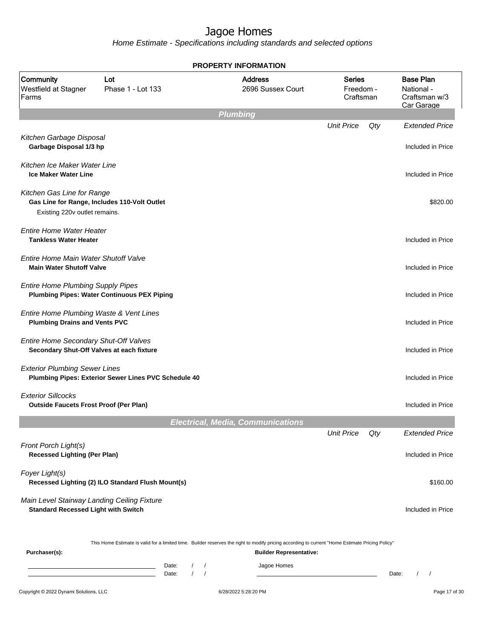Home Estimate - Specifications including standards and selected options

| Community<br>Westfield at Stagner<br>Farms                                                | Lot<br>Phase 1 - Lot 133                             |                                                                      |                      | <b>Address</b><br>2696 Sussex Court                                                                                                                                                | <b>Series</b><br>Freedom -<br>Craftsman |     | <b>Base Plan</b><br>National -<br>Craftsman w/3<br>Car Garage |
|-------------------------------------------------------------------------------------------|------------------------------------------------------|----------------------------------------------------------------------|----------------------|------------------------------------------------------------------------------------------------------------------------------------------------------------------------------------|-----------------------------------------|-----|---------------------------------------------------------------|
|                                                                                           |                                                      |                                                                      | <b>Plumbing</b>      |                                                                                                                                                                                    |                                         |     |                                                               |
| Kitchen Garbage Disposal<br>Garbage Disposal 1/3 hp                                       |                                                      |                                                                      |                      |                                                                                                                                                                                    | <b>Unit Price</b>                       | Qty | <b>Extended Price</b><br>Included in Price                    |
| Kitchen Ice Maker Water Line<br><b>Ice Maker Water Line</b>                               |                                                      |                                                                      |                      |                                                                                                                                                                                    |                                         |     | Included in Price                                             |
| Kitchen Gas Line for Range<br>Existing 220v outlet remains.                               | Gas Line for Range, Includes 110-Volt Outlet         |                                                                      |                      |                                                                                                                                                                                    |                                         |     | \$820.00                                                      |
| <b>Entire Home Water Heater</b><br><b>Tankless Water Heater</b>                           |                                                      |                                                                      |                      |                                                                                                                                                                                    |                                         |     | Included in Price                                             |
| Entire Home Main Water Shutoff Valve<br><b>Main Water Shutoff Valve</b>                   |                                                      |                                                                      |                      |                                                                                                                                                                                    |                                         |     | Included in Price                                             |
| <b>Entire Home Plumbing Supply Pipes</b>                                                  | <b>Plumbing Pipes: Water Continuous PEX Piping</b>   |                                                                      |                      |                                                                                                                                                                                    |                                         |     | Included in Price                                             |
| Entire Home Plumbing Waste & Vent Lines<br><b>Plumbing Drains and Vents PVC</b>           |                                                      |                                                                      |                      |                                                                                                                                                                                    |                                         |     | Included in Price                                             |
| Entire Home Secondary Shut-Off Valves<br>Secondary Shut-Off Valves at each fixture        |                                                      |                                                                      |                      |                                                                                                                                                                                    |                                         |     | Included in Price                                             |
| <b>Exterior Plumbing Sewer Lines</b>                                                      | Plumbing Pipes: Exterior Sewer Lines PVC Schedule 40 |                                                                      |                      |                                                                                                                                                                                    |                                         |     | Included in Price                                             |
| <b>Exterior Sillcocks</b><br><b>Outside Faucets Frost Proof (Per Plan)</b>                |                                                      |                                                                      |                      |                                                                                                                                                                                    |                                         |     | Included in Price                                             |
|                                                                                           |                                                      |                                                                      |                      | <b>Electrical, Media, Communications</b>                                                                                                                                           |                                         |     |                                                               |
|                                                                                           |                                                      |                                                                      |                      |                                                                                                                                                                                    | <b>Unit Price</b>                       | Qty | <b>Extended Price</b>                                         |
| Front Porch Light(s)<br><b>Recessed Lighting (Per Plan)</b>                               |                                                      |                                                                      |                      |                                                                                                                                                                                    |                                         |     | Included in Price                                             |
| Foyer Light(s)                                                                            | Recessed Lighting (2) ILO Standard Flush Mount(s)    |                                                                      |                      |                                                                                                                                                                                    |                                         |     | \$160.00                                                      |
| Main Level Stairway Landing Ceiling Fixture<br><b>Standard Recessed Light with Switch</b> |                                                      |                                                                      |                      |                                                                                                                                                                                    |                                         |     | Included in Price                                             |
| Purchaser(s):                                                                             |                                                      |                                                                      |                      | This Home Estimate is valid for a limited time. Builder reserves the right to modify pricing according to current "Home Estimate Pricing Policy"<br><b>Builder Representative:</b> |                                         |     |                                                               |
|                                                                                           |                                                      | Date:<br>$\sqrt{2}$<br>$\prime$<br>$\sqrt{ }$<br>$\sqrt{ }$<br>Date: |                      | Jagoe Homes                                                                                                                                                                        |                                         |     | $\left  \right $<br>Date:                                     |
| Copyright © 2022 Dynami Solutions, LLC                                                    |                                                      |                                                                      | 6/28/2022 5:28:20 PM |                                                                                                                                                                                    |                                         |     | Page 17 of 30                                                 |

#### **PROPERTY INFORMATION**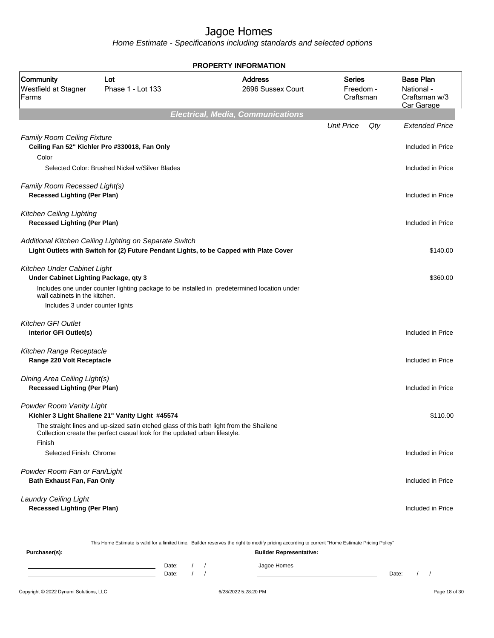Home Estimate - Specifications including standards and selected options

|                                                                                                                                          |                                                                                                                                                  | LITT IN VIIILIT                                                                                                                                  |                                  |                                                               |
|------------------------------------------------------------------------------------------------------------------------------------------|--------------------------------------------------------------------------------------------------------------------------------------------------|--------------------------------------------------------------------------------------------------------------------------------------------------|----------------------------------|---------------------------------------------------------------|
| Community<br>Westfield at Stagner<br>Farms                                                                                               | Lot<br>Phase 1 - Lot 133                                                                                                                         | <b>Address</b><br>2696 Sussex Court                                                                                                              | Series<br>Freedom -<br>Craftsman | <b>Base Plan</b><br>National -<br>Craftsman w/3<br>Car Garage |
|                                                                                                                                          |                                                                                                                                                  | <b>Electrical, Media, Communications</b>                                                                                                         |                                  |                                                               |
|                                                                                                                                          |                                                                                                                                                  |                                                                                                                                                  | <b>Unit Price</b><br>Qty         | <b>Extended Price</b>                                         |
| <b>Family Room Ceiling Fixture</b><br>Color                                                                                              | Ceiling Fan 52" Kichler Pro #330018, Fan Only                                                                                                    |                                                                                                                                                  |                                  | Included in Price                                             |
|                                                                                                                                          | Selected Color: Brushed Nickel w/Silver Blades                                                                                                   |                                                                                                                                                  |                                  | Included in Price                                             |
| Family Room Recessed Light(s)<br><b>Recessed Lighting (Per Plan)</b>                                                                     |                                                                                                                                                  |                                                                                                                                                  |                                  | Included in Price                                             |
| <b>Kitchen Ceiling Lighting</b><br><b>Recessed Lighting (Per Plan)</b>                                                                   |                                                                                                                                                  |                                                                                                                                                  |                                  | Included in Price                                             |
|                                                                                                                                          | Additional Kitchen Ceiling Lighting on Separate Switch<br>Light Outlets with Switch for (2) Future Pendant Lights, to be Capped with Plate Cover |                                                                                                                                                  |                                  | \$140.00                                                      |
| Kitchen Under Cabinet Light<br>Under Cabinet Lighting Package, qty 3<br>wall cabinets in the kitchen.<br>Includes 3 under counter lights |                                                                                                                                                  | Includes one under counter lighting package to be installed in predetermined location under                                                      |                                  | \$360.00                                                      |
|                                                                                                                                          |                                                                                                                                                  |                                                                                                                                                  |                                  |                                                               |
| Kitchen GFI Outlet<br>Interior GFI Outlet(s)                                                                                             |                                                                                                                                                  |                                                                                                                                                  |                                  | Included in Price                                             |
| Kitchen Range Receptacle<br>Range 220 Volt Receptacle                                                                                    |                                                                                                                                                  |                                                                                                                                                  |                                  | Included in Price                                             |
| Dining Area Ceiling Light(s)<br><b>Recessed Lighting (Per Plan)</b>                                                                      |                                                                                                                                                  |                                                                                                                                                  |                                  | Included in Price                                             |
| Powder Room Vanity Light                                                                                                                 | Kichler 3 Light Shailene 21" Vanity Light #45574<br>The straight lines and up-sized satin etched glass of this bath light from the Shailene      |                                                                                                                                                  |                                  | \$110.00                                                      |
| Finish                                                                                                                                   | Collection create the perfect casual look for the updated urban lifestyle.                                                                       |                                                                                                                                                  |                                  |                                                               |
| Selected Finish: Chrome                                                                                                                  |                                                                                                                                                  |                                                                                                                                                  |                                  | Included in Price                                             |
| Powder Room Fan or Fan/Light<br>Bath Exhaust Fan, Fan Only                                                                               |                                                                                                                                                  |                                                                                                                                                  |                                  | Included in Price                                             |
| <b>Laundry Ceiling Light</b><br><b>Recessed Lighting (Per Plan)</b>                                                                      |                                                                                                                                                  |                                                                                                                                                  |                                  | Included in Price                                             |
|                                                                                                                                          |                                                                                                                                                  | This Home Estimate is valid for a limited time. Builder reserves the right to modify pricing according to current "Home Estimate Pricing Policy" |                                  |                                                               |
| Purchaser(s):                                                                                                                            |                                                                                                                                                  | <b>Builder Representative:</b>                                                                                                                   |                                  |                                                               |

#### **PROPERTY INFORMATION**

Date: / / Date: / /

Date: / / Jagoe Homes<br>Date: / / Jagoe Homes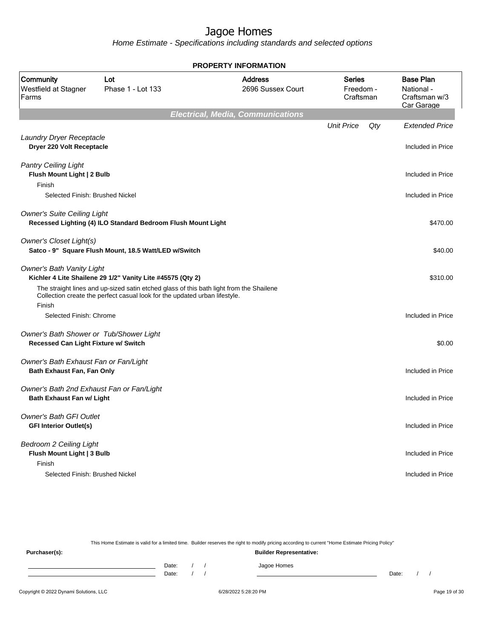Home Estimate - Specifications including standards and selected options

|                                                                                 |                                                                                                                                                                       | <b>PROPERTY INFORMATION</b>              |                                  |     |                                                               |
|---------------------------------------------------------------------------------|-----------------------------------------------------------------------------------------------------------------------------------------------------------------------|------------------------------------------|----------------------------------|-----|---------------------------------------------------------------|
| Community<br>Westfield at Stagner<br>Farms                                      | Lot<br>Phase 1 - Lot 133                                                                                                                                              | <b>Address</b><br>2696 Sussex Court      | Series<br>Freedom -<br>Craftsman |     | <b>Base Plan</b><br>National -<br>Craftsman w/3<br>Car Garage |
|                                                                                 |                                                                                                                                                                       | <b>Electrical, Media, Communications</b> |                                  |     |                                                               |
| Laundry Dryer Receptacle<br>Dryer 220 Volt Receptacle                           |                                                                                                                                                                       |                                          | <b>Unit Price</b>                | Qty | <b>Extended Price</b><br>Included in Price                    |
| <b>Pantry Ceiling Light</b><br>Flush Mount Light   2 Bulb<br>Finish             |                                                                                                                                                                       |                                          |                                  |     | Included in Price                                             |
| Selected Finish: Brushed Nickel                                                 |                                                                                                                                                                       |                                          |                                  |     | Included in Price                                             |
| <b>Owner's Suite Ceiling Light</b>                                              | Recessed Lighting (4) ILO Standard Bedroom Flush Mount Light                                                                                                          |                                          |                                  |     | \$470.00                                                      |
| Owner's Closet Light(s)                                                         | Satco - 9" Square Flush Mount, 18.5 Watt/LED w/Switch                                                                                                                 |                                          |                                  |     | \$40.00                                                       |
| <b>Owner's Bath Vanity Light</b>                                                | Kichler 4 Lite Shailene 29 1/2" Vanity Lite #45575 (Qty 2)                                                                                                            |                                          |                                  |     | \$310.00                                                      |
| Finish                                                                          | The straight lines and up-sized satin etched glass of this bath light from the Shailene<br>Collection create the perfect casual look for the updated urban lifestyle. |                                          |                                  |     |                                                               |
| Selected Finish: Chrome                                                         |                                                                                                                                                                       |                                          |                                  |     | Included in Price                                             |
| Owner's Bath Shower or Tub/Shower Light<br>Recessed Can Light Fixture w/ Switch |                                                                                                                                                                       |                                          |                                  |     | \$0.00                                                        |
| Owner's Bath Exhaust Fan or Fan/Light<br>Bath Exhaust Fan, Fan Only             |                                                                                                                                                                       |                                          |                                  |     | Included in Price                                             |
| Owner's Bath 2nd Exhaust Fan or Fan/Light<br><b>Bath Exhaust Fan w/ Light</b>   |                                                                                                                                                                       |                                          |                                  |     | Included in Price                                             |
| <b>Owner's Bath GFI Outlet</b><br><b>GFI Interior Outlet(s)</b>                 |                                                                                                                                                                       |                                          |                                  |     | Included in Price                                             |
| <b>Bedroom 2 Ceiling Light</b><br>Flush Mount Light   3 Bulb<br>Finish          |                                                                                                                                                                       |                                          |                                  |     | Included in Price                                             |
| Selected Finish: Brushed Nickel                                                 |                                                                                                                                                                       |                                          |                                  |     | Included in Price                                             |

This Home Estimate is valid for a limited time. Builder reserves the right to modify pricing according to current "Home Estimate Pricing Policy"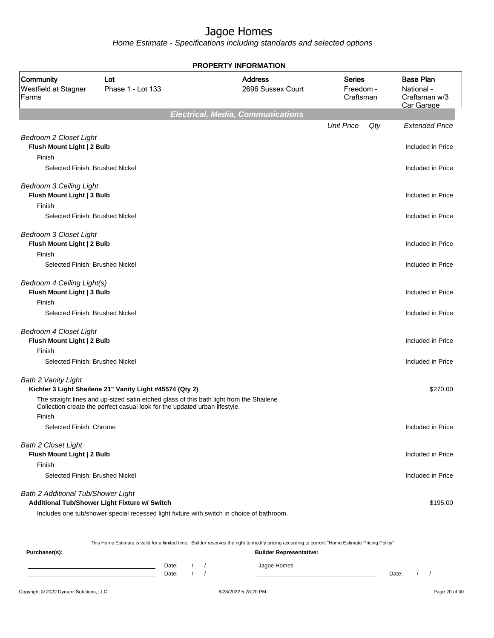Home Estimate - Specifications including standards and selected options

|                                                                       |                                                                                                                                                                       | <b>PROPERTY INFORMATION</b>              |                                         |                                                               |
|-----------------------------------------------------------------------|-----------------------------------------------------------------------------------------------------------------------------------------------------------------------|------------------------------------------|-----------------------------------------|---------------------------------------------------------------|
| Community<br>Westfield at Stagner<br>Farms                            | Lot<br>Phase 1 - Lot 133                                                                                                                                              | <b>Address</b><br>2696 Sussex Court      | <b>Series</b><br>Freedom -<br>Craftsman | <b>Base Plan</b><br>National -<br>Craftsman w/3<br>Car Garage |
|                                                                       |                                                                                                                                                                       | <b>Electrical, Media, Communications</b> |                                         |                                                               |
|                                                                       |                                                                                                                                                                       |                                          | <b>Unit Price</b><br>Qty                | <b>Extended Price</b>                                         |
| <b>Bedroom 2 Closet Light</b><br>Flush Mount Light   2 Bulb<br>Finish |                                                                                                                                                                       |                                          |                                         | Included in Price                                             |
| Selected Finish: Brushed Nickel                                       |                                                                                                                                                                       |                                          |                                         | Included in Price                                             |
| <b>Bedroom 3 Ceiling Light</b><br>Flush Mount Light   3 Bulb          |                                                                                                                                                                       |                                          |                                         | Included in Price                                             |
| Finish                                                                |                                                                                                                                                                       |                                          |                                         |                                                               |
| Selected Finish: Brushed Nickel                                       |                                                                                                                                                                       |                                          |                                         | Included in Price                                             |
| Bedroom 3 Closet Light<br>Flush Mount Light   2 Bulb                  |                                                                                                                                                                       |                                          |                                         | Included in Price                                             |
| Finish<br>Selected Finish: Brushed Nickel                             |                                                                                                                                                                       |                                          |                                         | Included in Price                                             |
|                                                                       |                                                                                                                                                                       |                                          |                                         |                                                               |
| Bedroom 4 Ceiling Light(s)<br>Flush Mount Light   3 Bulb              |                                                                                                                                                                       |                                          |                                         | Included in Price                                             |
| Finish<br>Selected Finish: Brushed Nickel                             |                                                                                                                                                                       |                                          |                                         |                                                               |
|                                                                       |                                                                                                                                                                       |                                          |                                         | Included in Price                                             |
| <b>Bedroom 4 Closet Light</b><br>Flush Mount Light   2 Bulb           |                                                                                                                                                                       |                                          |                                         | Included in Price                                             |
| Finish                                                                |                                                                                                                                                                       |                                          |                                         |                                                               |
| Selected Finish: Brushed Nickel                                       |                                                                                                                                                                       |                                          |                                         | Included in Price                                             |
| <b>Bath 2 Vanity Light</b>                                            | Kichler 3 Light Shailene 21" Vanity Light #45574 (Qty 2)                                                                                                              |                                          |                                         | \$270.00                                                      |
|                                                                       | The straight lines and up-sized satin etched glass of this bath light from the Shailene<br>Collection create the perfect casual look for the updated urban lifestyle. |                                          |                                         |                                                               |
| Finish                                                                |                                                                                                                                                                       |                                          |                                         |                                                               |
| Selected Finish: Chrome                                               |                                                                                                                                                                       |                                          |                                         | Included in Price                                             |
| <b>Bath 2 Closet Light</b>                                            |                                                                                                                                                                       |                                          |                                         |                                                               |
| Flush Mount Light   2 Bulb                                            |                                                                                                                                                                       |                                          |                                         | Included in Price                                             |
| Finish                                                                |                                                                                                                                                                       |                                          |                                         |                                                               |
| Selected Finish: Brushed Nickel                                       |                                                                                                                                                                       |                                          |                                         | Included in Price                                             |
| Bath 2 Additional Tub/Shower Light                                    | Additional Tub/Shower Light Fixture w/ Switch                                                                                                                         |                                          |                                         | \$195.00                                                      |
|                                                                       | Includes one tub/shower special recessed light fixture with switch in choice of bathroom.                                                                             |                                          |                                         |                                                               |

This Home Estimate is valid for a limited time. Builder reserves the right to modify pricing according to current "Home Estimate Pricing Policy"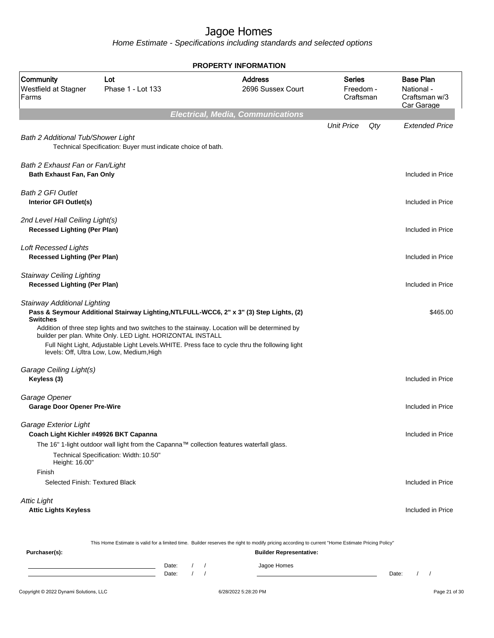Home Estimate - Specifications including standards and selected options

|                                                                                   |                                                                                                          | <b>PROPERTY INFORMATION</b>                                                                                                                                                                                                                                                                 |                                  |                                                               |
|-----------------------------------------------------------------------------------|----------------------------------------------------------------------------------------------------------|---------------------------------------------------------------------------------------------------------------------------------------------------------------------------------------------------------------------------------------------------------------------------------------------|----------------------------------|---------------------------------------------------------------|
| Community<br>Westfield at Stagner<br>Farms                                        | Lot<br>Phase 1 - Lot 133                                                                                 | <b>Address</b><br>2696 Sussex Court                                                                                                                                                                                                                                                         | Series<br>Freedom -<br>Craftsman | <b>Base Plan</b><br>National -<br>Craftsman w/3<br>Car Garage |
|                                                                                   |                                                                                                          | <b>Electrical, Media, Communications</b>                                                                                                                                                                                                                                                    |                                  |                                                               |
| Bath 2 Additional Tub/Shower Light                                                | Technical Specification: Buyer must indicate choice of bath.                                             |                                                                                                                                                                                                                                                                                             | <b>Unit Price</b><br>Qty         | <b>Extended Price</b>                                         |
| Bath 2 Exhaust Fan or Fan/Light<br>Bath Exhaust Fan, Fan Only                     |                                                                                                          |                                                                                                                                                                                                                                                                                             |                                  | Included in Price                                             |
| <b>Bath 2 GFI Outlet</b><br>Interior GFI Outlet(s)                                |                                                                                                          |                                                                                                                                                                                                                                                                                             |                                  | Included in Price                                             |
| 2nd Level Hall Ceiling Light(s)<br><b>Recessed Lighting (Per Plan)</b>            |                                                                                                          |                                                                                                                                                                                                                                                                                             |                                  | Included in Price                                             |
| <b>Loft Recessed Lights</b><br><b>Recessed Lighting (Per Plan)</b>                |                                                                                                          |                                                                                                                                                                                                                                                                                             |                                  | Included in Price                                             |
| <b>Stairway Ceiling Lighting</b><br><b>Recessed Lighting (Per Plan)</b>           |                                                                                                          |                                                                                                                                                                                                                                                                                             |                                  | Included in Price                                             |
| Stairway Additional Lighting<br><b>Switches</b>                                   | builder per plan. White Only. LED Light. HORIZONTAL INSTALL<br>levels: Off, Ultra Low, Low, Medium, High | Pass & Seymour Additional Stairway Lighting, NTLFULL-WCC6, 2" x 3" (3) Step Lights, (2)<br>Addition of three step lights and two switches to the stairway. Location will be determined by<br>Full Night Light, Adjustable Light Levels. WHITE. Press face to cycle thru the following light |                                  | \$465.00                                                      |
| Garage Ceiling Light(s)<br>Keyless (3)                                            |                                                                                                          |                                                                                                                                                                                                                                                                                             |                                  | Included in Price                                             |
| Garage Opener<br><b>Garage Door Opener Pre-Wire</b>                               |                                                                                                          |                                                                                                                                                                                                                                                                                             |                                  | Included in Price                                             |
| Garage Exterior Light<br>Coach Light Kichler #49926 BKT Capanna<br>Height: 16.00" | Technical Specification: Width: 10.50"                                                                   | The 16" 1-light outdoor wall light from the Capanna™ collection features waterfall glass.                                                                                                                                                                                                   |                                  | Included in Price                                             |
| Finish<br>Selected Finish: Textured Black                                         |                                                                                                          |                                                                                                                                                                                                                                                                                             |                                  | Included in Price                                             |
| <b>Attic Light</b><br><b>Attic Lights Keyless</b>                                 |                                                                                                          |                                                                                                                                                                                                                                                                                             |                                  | Included in Price                                             |
| Purchaser(s):                                                                     |                                                                                                          | This Home Estimate is valid for a limited time. Builder reserves the right to modify pricing according to current "Home Estimate Pricing Policy"<br><b>Builder Representative:</b>                                                                                                          |                                  |                                                               |
|                                                                                   | Date:                                                                                                    | Jagoe Homes                                                                                                                                                                                                                                                                                 |                                  |                                                               |

Date: / / Jagoe Homes **Date:** / /  $\overline{\phantom{a}}$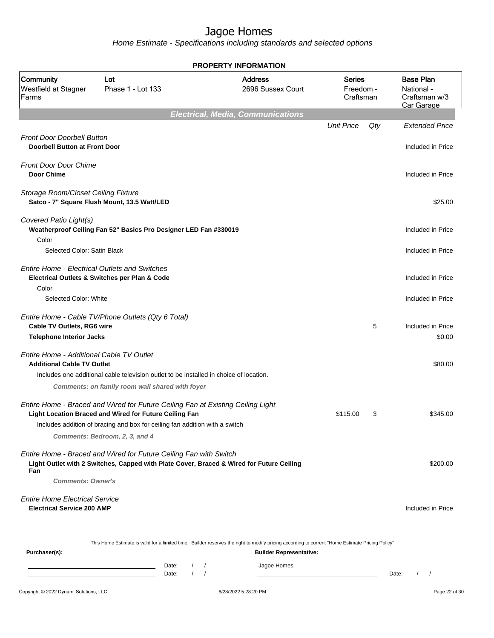Home Estimate - Specifications including standards and selected options

|                                                                               |                                                                                                                                                                                                                                                            | <b>PROPERTY INFORMATION</b>                                                                                                                      |                                  |     |                                                               |
|-------------------------------------------------------------------------------|------------------------------------------------------------------------------------------------------------------------------------------------------------------------------------------------------------------------------------------------------------|--------------------------------------------------------------------------------------------------------------------------------------------------|----------------------------------|-----|---------------------------------------------------------------|
| Community<br>Westfield at Stagner<br>Farms                                    | Lot<br>Phase 1 - Lot 133                                                                                                                                                                                                                                   | <b>Address</b><br>2696 Sussex Court                                                                                                              | Series<br>Freedom -<br>Craftsman |     | <b>Base Plan</b><br>National -<br>Craftsman w/3<br>Car Garage |
|                                                                               |                                                                                                                                                                                                                                                            | <b>Electrical, Media, Communications</b>                                                                                                         |                                  |     |                                                               |
|                                                                               |                                                                                                                                                                                                                                                            |                                                                                                                                                  | <b>Unit Price</b>                | Qty | <b>Extended Price</b>                                         |
| <b>Front Door Doorbell Button</b><br><b>Doorbell Button at Front Door</b>     |                                                                                                                                                                                                                                                            |                                                                                                                                                  |                                  |     | Included in Price                                             |
| <b>Front Door Door Chime</b><br><b>Door Chime</b>                             |                                                                                                                                                                                                                                                            |                                                                                                                                                  |                                  |     | Included in Price                                             |
| Storage Room/Closet Ceiling Fixture                                           | Satco - 7" Square Flush Mount, 13.5 Watt/LED                                                                                                                                                                                                               |                                                                                                                                                  |                                  |     | \$25.00                                                       |
| Covered Patio Light(s)                                                        | Weatherproof Ceiling Fan 52" Basics Pro Designer LED Fan #330019                                                                                                                                                                                           |                                                                                                                                                  |                                  |     | Included in Price                                             |
| Color<br>Selected Color: Satin Black                                          |                                                                                                                                                                                                                                                            |                                                                                                                                                  |                                  |     | Included in Price                                             |
| <b>Entire Home - Electrical Outlets and Switches</b><br>Color                 | Electrical Outlets & Switches per Plan & Code                                                                                                                                                                                                              |                                                                                                                                                  |                                  |     | Included in Price                                             |
| Selected Color: White                                                         |                                                                                                                                                                                                                                                            |                                                                                                                                                  |                                  |     | Included in Price                                             |
| <b>Cable TV Outlets, RG6 wire</b>                                             | Entire Home - Cable TV/Phone Outlets (Qty 6 Total)                                                                                                                                                                                                         |                                                                                                                                                  |                                  | 5   | Included in Price                                             |
| <b>Telephone Interior Jacks</b>                                               |                                                                                                                                                                                                                                                            |                                                                                                                                                  |                                  |     | \$0.00                                                        |
| Entire Home - Additional Cable TV Outlet<br><b>Additional Cable TV Outlet</b> |                                                                                                                                                                                                                                                            |                                                                                                                                                  |                                  |     | \$80.00                                                       |
|                                                                               | Includes one additional cable television outlet to be installed in choice of location.<br>Comments: on family room wall shared with foyer                                                                                                                  |                                                                                                                                                  |                                  |     |                                                               |
|                                                                               | Entire Home - Braced and Wired for Future Ceiling Fan at Existing Ceiling Light<br>Light Location Braced and Wired for Future Ceiling Fan<br>Includes addition of bracing and box for ceiling fan addition with a switch<br>Comments: Bedroom, 2, 3, and 4 |                                                                                                                                                  | \$115.00                         | 3   | \$345.00                                                      |
| Fan<br><b>Comments: Owner's</b>                                               | Entire Home - Braced and Wired for Future Ceiling Fan with Switch<br>Light Outlet with 2 Switches, Capped with Plate Cover, Braced & Wired for Future Ceiling                                                                                              |                                                                                                                                                  |                                  |     | \$200.00                                                      |
| <b>Entire Home Electrical Service</b><br><b>Electrical Service 200 AMP</b>    |                                                                                                                                                                                                                                                            |                                                                                                                                                  |                                  |     | Included in Price                                             |
|                                                                               |                                                                                                                                                                                                                                                            | This Home Estimate is valid for a limited time. Builder reserves the right to modify pricing according to current "Home Estimate Pricing Policy" |                                  |     |                                                               |
| Purchaser(s):                                                                 |                                                                                                                                                                                                                                                            | <b>Builder Representative:</b>                                                                                                                   |                                  |     |                                                               |

Date: / / Jagoe Homes<br>Date: / / Jagoe Homes Date: / / Date: / /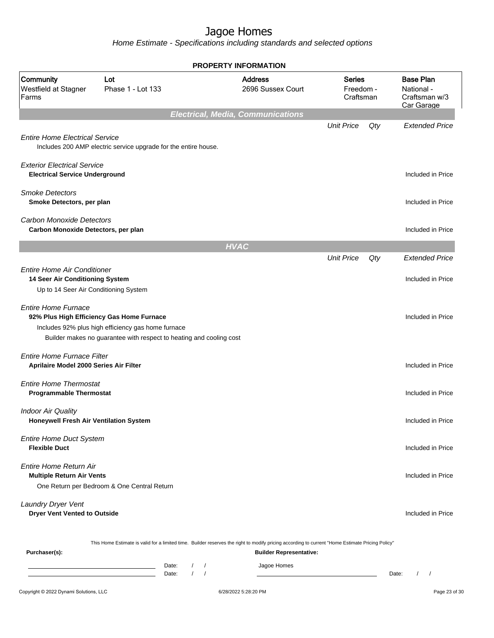|                                                                                                                |                                                                                                                           |                |                        | <b>PROPERTY INFORMATION</b>                                                                                                                                                        |                                         |     |                                                               |
|----------------------------------------------------------------------------------------------------------------|---------------------------------------------------------------------------------------------------------------------------|----------------|------------------------|------------------------------------------------------------------------------------------------------------------------------------------------------------------------------------|-----------------------------------------|-----|---------------------------------------------------------------|
| Community<br>Westfield at Stagner<br>Farms                                                                     | Lot<br>Phase 1 - Lot 133                                                                                                  |                |                        | <b>Address</b><br>2696 Sussex Court                                                                                                                                                | <b>Series</b><br>Freedom -<br>Craftsman |     | <b>Base Plan</b><br>National -<br>Craftsman w/3<br>Car Garage |
|                                                                                                                |                                                                                                                           |                |                        | <b>Electrical, Media, Communications</b>                                                                                                                                           |                                         |     |                                                               |
| <b>Entire Home Electrical Service</b>                                                                          | Includes 200 AMP electric service upgrade for the entire house.                                                           |                |                        |                                                                                                                                                                                    | <b>Unit Price</b>                       | Qty | <b>Extended Price</b>                                         |
| <b>Exterior Electrical Service</b><br><b>Electrical Service Underground</b>                                    |                                                                                                                           |                |                        |                                                                                                                                                                                    |                                         |     | Included in Price                                             |
| <b>Smoke Detectors</b><br>Smoke Detectors, per plan                                                            |                                                                                                                           |                |                        |                                                                                                                                                                                    |                                         |     | Included in Price                                             |
| <b>Carbon Monoxide Detectors</b><br>Carbon Monoxide Detectors, per plan                                        |                                                                                                                           |                |                        |                                                                                                                                                                                    |                                         |     | Included in Price                                             |
|                                                                                                                |                                                                                                                           |                | <b>HVAC</b>            |                                                                                                                                                                                    |                                         |     |                                                               |
|                                                                                                                |                                                                                                                           |                |                        |                                                                                                                                                                                    | <b>Unit Price</b>                       | Qty | <b>Extended Price</b>                                         |
| <b>Entire Home Air Conditioner</b><br>14 Seer Air Conditioning System<br>Up to 14 Seer Air Conditioning System |                                                                                                                           |                |                        |                                                                                                                                                                                    |                                         |     | Included in Price                                             |
| <b>Entire Home Furnace</b><br>92% Plus High Efficiency Gas Home Furnace                                        | Includes 92% plus high efficiency gas home furnace<br>Builder makes no guarantee with respect to heating and cooling cost |                |                        |                                                                                                                                                                                    |                                         |     | Included in Price                                             |
| <b>Entire Home Furnace Filter</b><br>Aprilaire Model 2000 Series Air Filter                                    |                                                                                                                           |                |                        |                                                                                                                                                                                    |                                         |     | Included in Price                                             |
| <b>Entire Home Thermostat</b><br><b>Programmable Thermostat</b>                                                |                                                                                                                           |                |                        |                                                                                                                                                                                    |                                         |     | Included in Price                                             |
| <b>Indoor Air Quality</b><br>Honeywell Fresh Air Ventilation System                                            |                                                                                                                           |                |                        |                                                                                                                                                                                    |                                         |     | Included in Price                                             |
| <b>Entire Home Duct System</b><br><b>Flexible Duct</b>                                                         |                                                                                                                           |                |                        |                                                                                                                                                                                    |                                         |     | Included in Price                                             |
| Entire Home Return Air<br><b>Multiple Return Air Vents</b>                                                     | One Return per Bedroom & One Central Return                                                                               |                |                        |                                                                                                                                                                                    |                                         |     | Included in Price                                             |
| Laundry Dryer Vent<br><b>Dryer Vent Vented to Outside</b>                                                      |                                                                                                                           |                |                        |                                                                                                                                                                                    |                                         |     | Included in Price                                             |
| Purchaser(s):                                                                                                  |                                                                                                                           |                |                        | This Home Estimate is valid for a limited time. Builder reserves the right to modify pricing according to current "Home Estimate Pricing Policy"<br><b>Builder Representative:</b> |                                         |     |                                                               |
|                                                                                                                |                                                                                                                           | Date:<br>Date: | $\prime$<br>$\sqrt{ }$ | Jagoe Homes                                                                                                                                                                        |                                         |     | Date:<br>$\left  \right $                                     |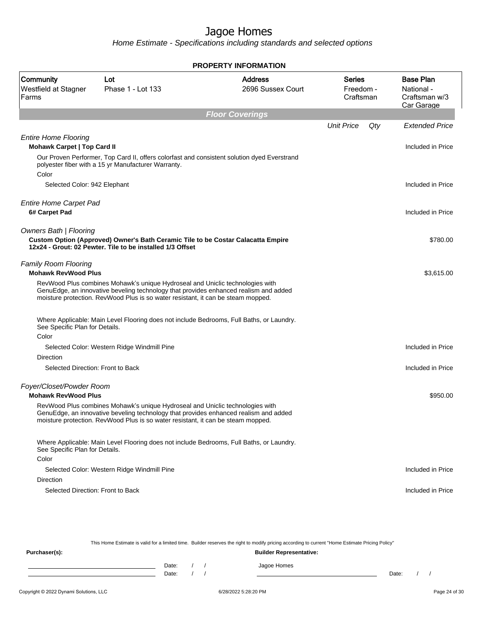**PROPERTY INFORMATION**

Home Estimate - Specifications including standards and selected options

| Community<br>Westfield at Stagner<br>Farms         | Lot<br>Phase 1 - Lot 133                                                                                                                                                                                                                                  | <b>Address</b><br>2696 Sussex Court | <b>Series</b><br>Freedom -<br>Craftsman | <b>Base Plan</b><br>National -<br>Craftsman w/3<br>Car Garage |
|----------------------------------------------------|-----------------------------------------------------------------------------------------------------------------------------------------------------------------------------------------------------------------------------------------------------------|-------------------------------------|-----------------------------------------|---------------------------------------------------------------|
|                                                    |                                                                                                                                                                                                                                                           | <b>Floor Coverings</b>              |                                         |                                                               |
|                                                    |                                                                                                                                                                                                                                                           |                                     | <b>Unit Price</b><br>Qty                | Extended Price                                                |
| <b>Entire Home Flooring</b>                        |                                                                                                                                                                                                                                                           |                                     |                                         |                                                               |
| <b>Mohawk Carpet   Top Card II</b>                 |                                                                                                                                                                                                                                                           |                                     |                                         | Included in Price                                             |
| Color                                              | Our Proven Performer, Top Card II, offers colorfast and consistent solution dyed Everstrand<br>polyester fiber with a 15 yr Manufacturer Warranty.                                                                                                        |                                     |                                         |                                                               |
| Selected Color: 942 Elephant                       |                                                                                                                                                                                                                                                           |                                     |                                         | Included in Price                                             |
|                                                    |                                                                                                                                                                                                                                                           |                                     |                                         |                                                               |
| <b>Entire Home Carpet Pad</b>                      |                                                                                                                                                                                                                                                           |                                     |                                         |                                                               |
| 6# Carpet Pad                                      |                                                                                                                                                                                                                                                           |                                     |                                         | Included in Price                                             |
| <b>Owners Bath   Flooring</b>                      |                                                                                                                                                                                                                                                           |                                     |                                         |                                                               |
|                                                    | Custom Option (Approved) Owner's Bath Ceramic Tile to be Costar Calacatta Empire<br>12x24 - Grout: 02 Pewter. Tile to be installed 1/3 Offset                                                                                                             |                                     |                                         | \$780.00                                                      |
| Family Room Flooring<br><b>Mohawk RevWood Plus</b> |                                                                                                                                                                                                                                                           |                                     |                                         | \$3,615.00                                                    |
|                                                    | RevWood Plus combines Mohawk's unique Hydroseal and Uniclic technologies with<br>GenuEdge, an innovative beveling technology that provides enhanced realism and added<br>moisture protection. RevWood Plus is so water resistant, it can be steam mopped. |                                     |                                         |                                                               |
| See Specific Plan for Details.                     | Where Applicable: Main Level Flooring does not include Bedrooms, Full Baths, or Laundry.                                                                                                                                                                  |                                     |                                         |                                                               |
| Color                                              |                                                                                                                                                                                                                                                           |                                     |                                         |                                                               |
|                                                    | Selected Color: Western Ridge Windmill Pine                                                                                                                                                                                                               |                                     |                                         | Included in Price                                             |
| Direction                                          |                                                                                                                                                                                                                                                           |                                     |                                         |                                                               |
| Selected Direction: Front to Back                  |                                                                                                                                                                                                                                                           |                                     |                                         | Included in Price                                             |
| Foyer/Closet/Powder Room                           |                                                                                                                                                                                                                                                           |                                     |                                         |                                                               |
| <b>Mohawk RevWood Plus</b>                         |                                                                                                                                                                                                                                                           |                                     |                                         | \$950.00                                                      |
|                                                    | RevWood Plus combines Mohawk's unique Hydroseal and Uniclic technologies with<br>GenuEdge, an innovative beveling technology that provides enhanced realism and added<br>moisture protection. RevWood Plus is so water resistant, it can be steam mopped. |                                     |                                         |                                                               |
| See Specific Plan for Details.                     | Where Applicable: Main Level Flooring does not include Bedrooms, Full Baths, or Laundry.                                                                                                                                                                  |                                     |                                         |                                                               |
| Color                                              |                                                                                                                                                                                                                                                           |                                     |                                         |                                                               |
|                                                    | Selected Color: Western Ridge Windmill Pine                                                                                                                                                                                                               |                                     |                                         | Included in Price                                             |
| Direction                                          |                                                                                                                                                                                                                                                           |                                     |                                         |                                                               |
| Selected Direction: Front to Back                  |                                                                                                                                                                                                                                                           |                                     |                                         | Included in Price                                             |

This Home Estimate is valid for a limited time. Builder reserves the right to modify pricing according to current "Home Estimate Pricing Policy"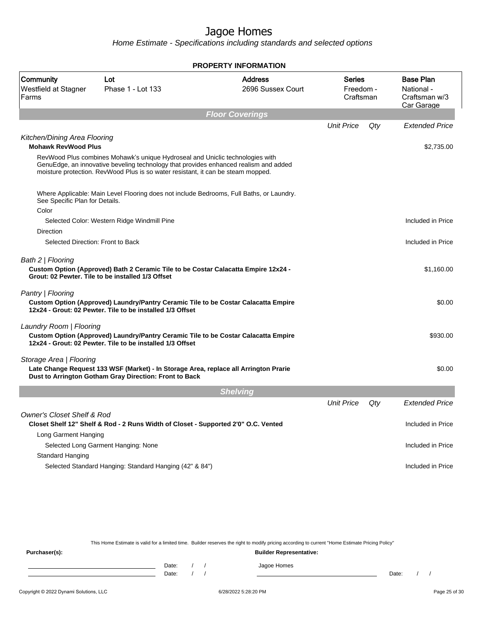Home Estimate - Specifications including standards and selected options

|                                                |                                                                                                                                                                   | <b>PROPERTY INFORMATION</b>                                                              |                                         |     |                                                               |
|------------------------------------------------|-------------------------------------------------------------------------------------------------------------------------------------------------------------------|------------------------------------------------------------------------------------------|-----------------------------------------|-----|---------------------------------------------------------------|
| Community<br>Westfield at Stagner<br>Farms     | Lot<br>Phase 1 - Lot 133                                                                                                                                          | <b>Address</b><br>2696 Sussex Court                                                      | <b>Series</b><br>Freedom -<br>Craftsman |     | <b>Base Plan</b><br>National -<br>Craftsman w/3<br>Car Garage |
|                                                |                                                                                                                                                                   | <b>Floor Coverings</b>                                                                   |                                         |     |                                                               |
| Kitchen/Dining Area Flooring                   |                                                                                                                                                                   |                                                                                          | <b>Unit Price</b>                       | Qty | <b>Extended Price</b>                                         |
| <b>Mohawk RevWood Plus</b>                     |                                                                                                                                                                   |                                                                                          |                                         |     | \$2,735.00                                                    |
|                                                | RevWood Plus combines Mohawk's unique Hydroseal and Uniclic technologies with<br>moisture protection. RevWood Plus is so water resistant, it can be steam mopped. | GenuEdge, an innovative beveling technology that provides enhanced realism and added     |                                         |     |                                                               |
| See Specific Plan for Details.                 |                                                                                                                                                                   | Where Applicable: Main Level Flooring does not include Bedrooms, Full Baths, or Laundry. |                                         |     |                                                               |
| Color                                          |                                                                                                                                                                   |                                                                                          |                                         |     |                                                               |
|                                                | Selected Color: Western Ridge Windmill Pine                                                                                                                       |                                                                                          |                                         |     | Included in Price                                             |
| Direction<br>Selected Direction: Front to Back |                                                                                                                                                                   |                                                                                          |                                         |     | Included in Price                                             |
|                                                |                                                                                                                                                                   |                                                                                          |                                         |     |                                                               |
| Bath 2   Flooring                              | Grout: 02 Pewter. Tile to be installed 1/3 Offset                                                                                                                 | Custom Option (Approved) Bath 2 Ceramic Tile to be Costar Calacatta Empire 12x24 -       |                                         |     | \$1,160.00                                                    |
| Pantry   Flooring                              | 12x24 - Grout: 02 Pewter. Tile to be installed 1/3 Offset                                                                                                         | Custom Option (Approved) Laundry/Pantry Ceramic Tile to be Costar Calacatta Empire       |                                         |     | \$0.00                                                        |
| Laundry Room   Flooring                        | 12x24 - Grout: 02 Pewter. Tile to be installed 1/3 Offset                                                                                                         | Custom Option (Approved) Laundry/Pantry Ceramic Tile to be Costar Calacatta Empire       |                                         |     | \$930.00                                                      |
| Storage Area   Flooring                        | Dust to Arrington Gotham Gray Direction: Front to Back                                                                                                            | Late Change Request 133 WSF (Market) - In Storage Area, replace all Arrington Prarie     |                                         |     | \$0.00                                                        |
|                                                |                                                                                                                                                                   | <b>Shelving</b>                                                                          |                                         |     |                                                               |
|                                                |                                                                                                                                                                   |                                                                                          | <b>Unit Price</b>                       | Qty | <b>Extended Price</b>                                         |
| <b>Owner's Closet Shelf &amp; Rod</b>          | Closet Shelf 12" Shelf & Rod - 2 Runs Width of Closet - Supported 2'0" O.C. Vented                                                                                |                                                                                          |                                         |     | Included in Price                                             |
| Long Garment Hanging                           |                                                                                                                                                                   |                                                                                          |                                         |     |                                                               |
|                                                | Selected Long Garment Hanging: None                                                                                                                               |                                                                                          |                                         |     | Included in Price                                             |
| Standard Hanging                               |                                                                                                                                                                   |                                                                                          |                                         |     |                                                               |
|                                                | Selected Standard Hanging: Standard Hanging (42" & 84")                                                                                                           |                                                                                          |                                         |     | Included in Price                                             |

This Home Estimate is valid for a limited time. Builder reserves the right to modify pricing according to current "Home Estimate Pricing Policy"

**Purchaser(s): Builder Representative:** Date: / / Jagoe Homes<br>Date: / / Jagoe Homes Date: / / **Date: / / 2006** Date: / / / Date: / / / Date: / / / 2006 Date: / / / 2006 Date: / / / 2006 Date: / / / 2006 Date: / / / 2007 Date: / / / 2007 Date: / / / 2007 Date: / / / 2007 Date: / / / 2007 Date: / / / 2007 D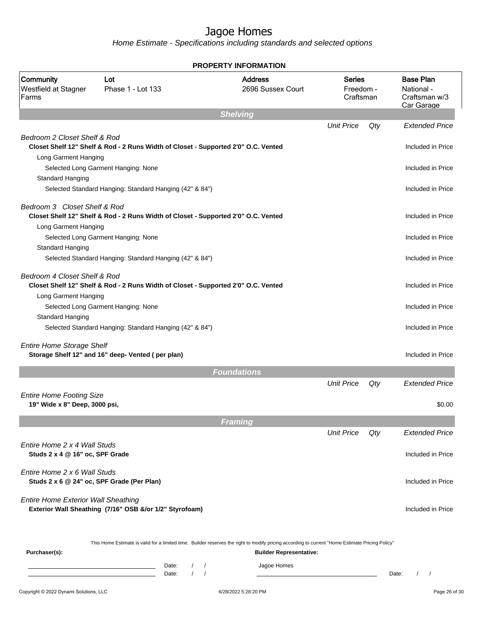|                                                                  |                                                                                    | <b>PROPERTY INFORMATION</b>                                                                                                                                                        |                                         |     |                                                               |
|------------------------------------------------------------------|------------------------------------------------------------------------------------|------------------------------------------------------------------------------------------------------------------------------------------------------------------------------------|-----------------------------------------|-----|---------------------------------------------------------------|
| Community<br>Westfield at Stagner<br>Farms                       | Lot<br>Phase 1 - Lot 133                                                           | <b>Address</b><br>2696 Sussex Court                                                                                                                                                | <b>Series</b><br>Freedom -<br>Craftsman |     | <b>Base Plan</b><br>National -<br>Craftsman w/3<br>Car Garage |
|                                                                  |                                                                                    | <b>Shelving</b>                                                                                                                                                                    |                                         |     |                                                               |
| Bedroom 2 Closet Shelf & Rod                                     | Closet Shelf 12" Shelf & Rod - 2 Runs Width of Closet - Supported 2'0" O.C. Vented |                                                                                                                                                                                    | <b>Unit Price</b>                       | Qty | <b>Extended Price</b><br>Included in Price                    |
| Long Garment Hanging<br>Standard Hanging                         | Selected Long Garment Hanging: None                                                |                                                                                                                                                                                    |                                         |     | Included in Price                                             |
|                                                                  | Selected Standard Hanging: Standard Hanging (42" & 84")                            |                                                                                                                                                                                    |                                         |     | Included in Price                                             |
| Bedroom 3 Closet Shelf & Rod<br>Long Garment Hanging             | Closet Shelf 12" Shelf & Rod - 2 Runs Width of Closet - Supported 2'0" O.C. Vented |                                                                                                                                                                                    |                                         |     | Included in Price                                             |
| Standard Hanging                                                 | Selected Long Garment Hanging: None                                                |                                                                                                                                                                                    |                                         |     | Included in Price                                             |
|                                                                  | Selected Standard Hanging: Standard Hanging (42" & 84")                            |                                                                                                                                                                                    |                                         |     | Included in Price                                             |
| Bedroom 4 Closet Shelf & Rod<br>Long Garment Hanging             | Closet Shelf 12" Shelf & Rod - 2 Runs Width of Closet - Supported 2'0" O.C. Vented |                                                                                                                                                                                    |                                         |     | Included in Price                                             |
| Standard Hanging                                                 | Selected Long Garment Hanging: None                                                |                                                                                                                                                                                    |                                         |     | Included in Price                                             |
|                                                                  | Selected Standard Hanging: Standard Hanging (42" & 84")                            |                                                                                                                                                                                    |                                         |     | Included in Price                                             |
| <b>Entire Home Storage Shelf</b>                                 | Storage Shelf 12" and 16" deep- Vented (per plan)                                  |                                                                                                                                                                                    |                                         |     | Included in Price                                             |
|                                                                  |                                                                                    | <b>Foundations</b>                                                                                                                                                                 |                                         |     |                                                               |
| <b>Entire Home Footing Size</b><br>19" Wide x 8" Deep, 3000 psi, |                                                                                    |                                                                                                                                                                                    | <b>Unit Price</b>                       | Qty | <b>Extended Price</b><br>\$0.00                               |
|                                                                  |                                                                                    |                                                                                                                                                                                    |                                         |     |                                                               |
|                                                                  |                                                                                    | Framing                                                                                                                                                                            | <b>Unit Price</b>                       | Qty | <b>Extended Price</b>                                         |
| Fntire Home 2 x 4 Wall Studs<br>Studs 2 x 4 @ 16" oc, SPF Grade  |                                                                                    |                                                                                                                                                                                    |                                         |     | Included in Price                                             |
| Entire Home 2 x 6 Wall Studs                                     | Studs 2 x 6 @ 24" oc, SPF Grade (Per Plan)                                         |                                                                                                                                                                                    |                                         |     | Included in Price                                             |
| <b>Entire Home Exterior Wall Sheathing</b>                       | Exterior Wall Sheathing (7/16" OSB &/or 1/2" Styrofoam)                            |                                                                                                                                                                                    |                                         |     | Included in Price                                             |
| Purchaser(s):                                                    |                                                                                    | This Home Estimate is valid for a limited time. Builder reserves the right to modify pricing according to current "Home Estimate Pricing Policy"<br><b>Builder Representative:</b> |                                         |     |                                                               |
|                                                                  | Date:<br>$\prime$<br>$\sqrt{ }$<br>$\prime$<br>$\sqrt{ }$<br>Date:                 | Jagoe Homes                                                                                                                                                                        |                                         |     | Date:<br>$\frac{1}{2}$                                        |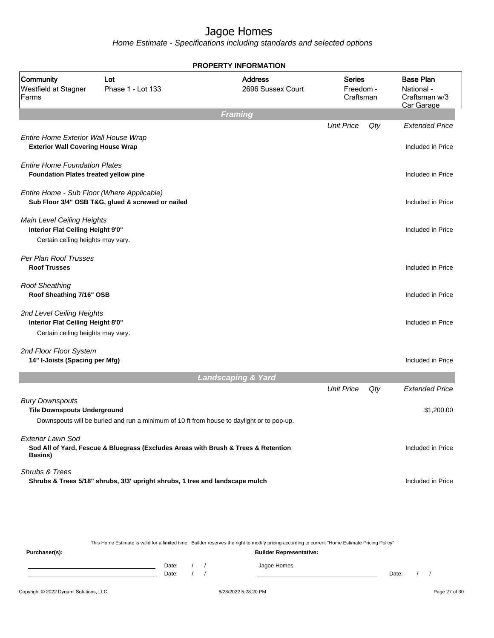Home Estimate - Specifications including standards and selected options

|                                                                                                      |                                                                                           | <b>PROPERTY INFORMATION</b>         |                                         |     |                                                               |
|------------------------------------------------------------------------------------------------------|-------------------------------------------------------------------------------------------|-------------------------------------|-----------------------------------------|-----|---------------------------------------------------------------|
| Community<br>Westfield at Stagner<br>Farms                                                           | Lot<br>Phase 1 - Lot 133                                                                  | <b>Address</b><br>2696 Sussex Court | <b>Series</b><br>Freedom -<br>Craftsman |     | <b>Base Plan</b><br>National -<br>Craftsman w/3<br>Car Garage |
|                                                                                                      |                                                                                           | <b>Framing</b>                      |                                         |     |                                                               |
|                                                                                                      |                                                                                           |                                     | <b>Unit Price</b>                       | Qty | <b>Extended Price</b>                                         |
| Entire Home Exterior Wall House Wrap<br><b>Exterior Wall Covering House Wrap</b>                     |                                                                                           |                                     |                                         |     | Included in Price                                             |
| <b>Entire Home Foundation Plates</b><br>Foundation Plates treated yellow pine                        |                                                                                           |                                     |                                         |     | Included in Price                                             |
| Entire Home - Sub Floor (Where Applicable)                                                           | Sub Floor 3/4" OSB T&G, glued & screwed or nailed                                         |                                     |                                         |     | Included in Price                                             |
| Main Level Ceiling Heights<br>Interior Flat Ceiling Height 9'0"<br>Certain ceiling heights may vary. |                                                                                           |                                     |                                         |     | Included in Price                                             |
| Per Plan Roof Trusses<br><b>Roof Trusses</b>                                                         |                                                                                           |                                     |                                         |     | Included in Price                                             |
| <b>Roof Sheathing</b><br>Roof Sheathing 7/16" OSB                                                    |                                                                                           |                                     |                                         |     | Included in Price                                             |
| 2nd Level Ceiling Heights<br>Interior Flat Ceiling Height 8'0"<br>Certain ceiling heights may vary.  |                                                                                           |                                     |                                         |     | Included in Price                                             |
| 2nd Floor Floor System<br>14" I-Joists (Spacing per Mfg)                                             |                                                                                           |                                     |                                         |     | Included in Price                                             |
|                                                                                                      |                                                                                           | <b>Landscaping &amp; Yard</b>       |                                         |     |                                                               |
|                                                                                                      |                                                                                           |                                     | <b>Unit Price</b>                       | Qty | <b>Extended Price</b>                                         |
| <b>Bury Downspouts</b><br><b>Tile Downspouts Underground</b>                                         | Downspouts will be buried and run a minimum of 10 ft from house to daylight or to pop-up. |                                     |                                         |     | \$1,200.00                                                    |
| <b>Exterior Lawn Sod</b><br>Basins)                                                                  | Sod All of Yard, Fescue & Bluegrass (Excludes Areas with Brush & Trees & Retention        |                                     |                                         |     | Included in Price                                             |
| Shrubs & Trees                                                                                       | Shrubs & Trees 5/18" shrubs, 3/3' upright shrubs, 1 tree and landscape mulch              |                                     |                                         |     | Included in Price                                             |
|                                                                                                      |                                                                                           |                                     |                                         |     |                                                               |

This Home Estimate is valid for a limited time. Builder reserves the right to modify pricing according to current "Home Estimate Pricing Policy"

**Purchaser(s): Builder Representative:** Date: / / Jagoe Homes<br>Date: / / Jagoe Homes Date: / / **Date: / / 2006** Date: / / / Date: / / / Date: / / / 2006 Date: / / / 2006 Date: / / / 2006 Date: / / / 2006 Date: / / / 2007 Date: / / / 2007 Date: / / / 2007 Date: / / / 2007 Date: / / / 2007 Date: / / / 2007 D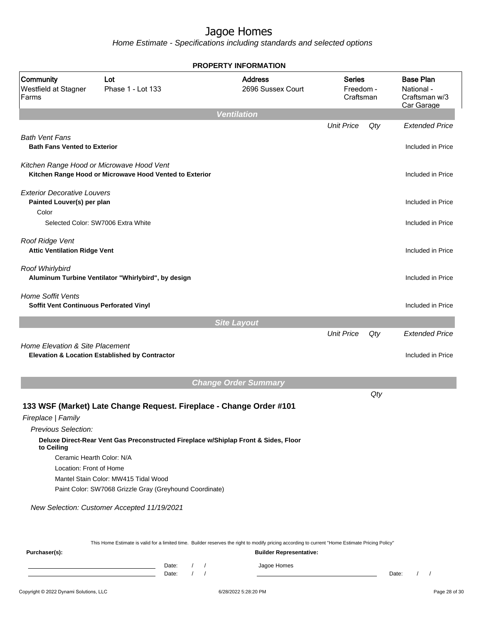Home Estimate - Specifications including standards and selected options

|                                                                     |                                                                                                      | <b>PROPERTY INFORMATION</b>                                                                                                                      |                                  |     |                                                               |  |
|---------------------------------------------------------------------|------------------------------------------------------------------------------------------------------|--------------------------------------------------------------------------------------------------------------------------------------------------|----------------------------------|-----|---------------------------------------------------------------|--|
| Community<br>Westfield at Stagner<br>Farms                          | Lot<br>Phase 1 - Lot 133                                                                             | <b>Address</b><br>2696 Sussex Court                                                                                                              | Series<br>Freedom -<br>Craftsman |     | <b>Base Plan</b><br>National -<br>Craftsman w/3<br>Car Garage |  |
|                                                                     |                                                                                                      | <b>Ventilation</b>                                                                                                                               |                                  |     |                                                               |  |
| <b>Bath Vent Fans</b><br><b>Bath Fans Vented to Exterior</b>        |                                                                                                      |                                                                                                                                                  | <b>Unit Price</b>                | Qty | <b>Extended Price</b><br>Included in Price                    |  |
|                                                                     |                                                                                                      |                                                                                                                                                  |                                  |     |                                                               |  |
|                                                                     | Kitchen Range Hood or Microwave Hood Vent<br>Kitchen Range Hood or Microwave Hood Vented to Exterior |                                                                                                                                                  |                                  |     | Included in Price                                             |  |
| <b>Exterior Decorative Louvers</b><br>Painted Louver(s) per plan    |                                                                                                      |                                                                                                                                                  |                                  |     | Included in Price                                             |  |
| Color                                                               | Selected Color: SW7006 Extra White                                                                   |                                                                                                                                                  |                                  |     | Included in Price                                             |  |
| Roof Ridge Vent<br><b>Attic Ventilation Ridge Vent</b>              |                                                                                                      |                                                                                                                                                  |                                  |     | Included in Price                                             |  |
| Roof Whirlybird                                                     | Aluminum Turbine Ventilator "Whirlybird", by design                                                  |                                                                                                                                                  |                                  |     | Included in Price                                             |  |
| <b>Home Soffit Vents</b><br>Soffit Vent Continuous Perforated Vinyl |                                                                                                      |                                                                                                                                                  |                                  |     | Included in Price                                             |  |
|                                                                     |                                                                                                      | <b>Site Layout</b>                                                                                                                               |                                  |     |                                                               |  |
|                                                                     |                                                                                                      |                                                                                                                                                  | <b>Unit Price</b>                | Qty | <b>Extended Price</b>                                         |  |
| Home Elevation & Site Placement                                     | Elevation & Location Established by Contractor                                                       |                                                                                                                                                  |                                  |     | Included in Price                                             |  |
|                                                                     |                                                                                                      | <b>Change Order Summary</b>                                                                                                                      |                                  |     |                                                               |  |
|                                                                     |                                                                                                      |                                                                                                                                                  |                                  | Qty |                                                               |  |
|                                                                     | 133 WSF (Market) Late Change Request. Fireplace - Change Order #101                                  |                                                                                                                                                  |                                  |     |                                                               |  |
| Fireplace   Family                                                  |                                                                                                      |                                                                                                                                                  |                                  |     |                                                               |  |
| Previous Selection:                                                 |                                                                                                      |                                                                                                                                                  |                                  |     |                                                               |  |
| to Ceiling                                                          | Deluxe Direct-Rear Vent Gas Preconstructed Fireplace w/Shiplap Front & Sides, Floor                  |                                                                                                                                                  |                                  |     |                                                               |  |
| Ceramic Hearth Color: N/A                                           |                                                                                                      |                                                                                                                                                  |                                  |     |                                                               |  |
| Location: Front of Home                                             |                                                                                                      |                                                                                                                                                  |                                  |     |                                                               |  |
|                                                                     | Mantel Stain Color: MW415 Tidal Wood                                                                 |                                                                                                                                                  |                                  |     |                                                               |  |
|                                                                     | Paint Color: SW7068 Grizzle Gray (Greyhound Coordinate)                                              |                                                                                                                                                  |                                  |     |                                                               |  |
|                                                                     | New Selection: Customer Accepted 11/19/2021                                                          |                                                                                                                                                  |                                  |     |                                                               |  |
|                                                                     |                                                                                                      | This Home Estimate is valid for a limited time. Builder reserves the right to modify pricing according to current "Home Estimate Pricing Policy" |                                  |     |                                                               |  |
| Purchaser(s):                                                       |                                                                                                      | <b>Builder Representative:</b>                                                                                                                   |                                  |     |                                                               |  |
|                                                                     | Date:<br>Date:                                                                                       | Jagoe Homes                                                                                                                                      |                                  |     | Date:                                                         |  |

#### Copyright © 2022 Dynami Solutions, LLC <br>
6/28/2022 5:28:20 PM 6/28/2022 5:28:20 PM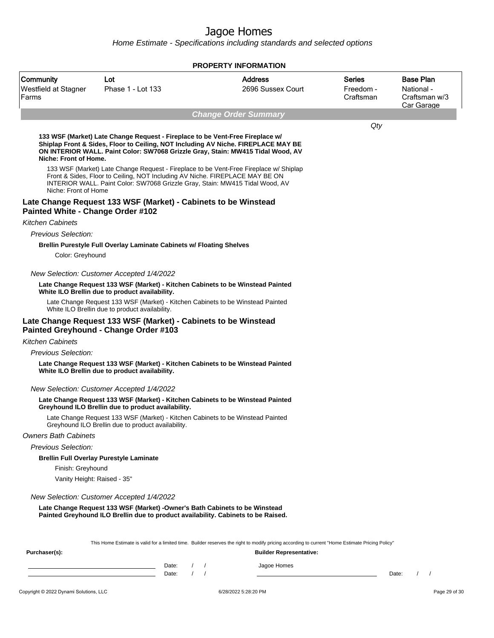|                                            |                                                                                                                                                                                                                                                       | <b>PROPERTY INFORMATION</b>                                                                                                                                                        |                                         |                                                               |
|--------------------------------------------|-------------------------------------------------------------------------------------------------------------------------------------------------------------------------------------------------------------------------------------------------------|------------------------------------------------------------------------------------------------------------------------------------------------------------------------------------|-----------------------------------------|---------------------------------------------------------------|
| Community<br>Westfield at Stagner<br>Farms | Lot<br>Phase 1 - Lot 133                                                                                                                                                                                                                              | <b>Address</b><br>2696 Sussex Court                                                                                                                                                | <b>Series</b><br>Freedom -<br>Craftsman | <b>Base Plan</b><br>National -<br>Craftsman w/3<br>Car Garage |
|                                            |                                                                                                                                                                                                                                                       | <b>Change Order Summary</b>                                                                                                                                                        |                                         |                                                               |
| Niche: Front of Home.                      | 133 WSF (Market) Late Change Request - Fireplace to be Vent-Free Fireplace w/<br>Shiplap Front & Sides, Floor to Ceiling, NOT Including AV Niche. FIREPLACE MAY BE<br>ON INTERIOR WALL. Paint Color: SW7068 Grizzle Gray, Stain: MW415 Tidal Wood, AV |                                                                                                                                                                                    | Qty                                     |                                                               |
| Niche: Front of Home                       | 133 WSF (Market) Late Change Request - Fireplace to be Vent-Free Fireplace w/ Shiplap<br>Front & Sides, Floor to Ceiling, NOT Including AV Niche. FIREPLACE MAY BE ON<br>INTERIOR WALL. Paint Color: SW7068 Grizzle Gray, Stain: MW415 Tidal Wood, AV |                                                                                                                                                                                    |                                         |                                                               |
| Painted White - Change Order #102          | Late Change Request 133 WSF (Market) - Cabinets to be Winstead                                                                                                                                                                                        |                                                                                                                                                                                    |                                         |                                                               |
| <b>Kitchen Cabinets</b>                    |                                                                                                                                                                                                                                                       |                                                                                                                                                                                    |                                         |                                                               |
| <b>Previous Selection:</b>                 |                                                                                                                                                                                                                                                       |                                                                                                                                                                                    |                                         |                                                               |
| Color: Greyhound                           | Brellin Purestyle Full Overlay Laminate Cabinets w/ Floating Shelves                                                                                                                                                                                  |                                                                                                                                                                                    |                                         |                                                               |
|                                            | New Selection: Customer Accepted 1/4/2022                                                                                                                                                                                                             |                                                                                                                                                                                    |                                         |                                                               |
|                                            | Late Change Request 133 WSF (Market) - Kitchen Cabinets to be Winstead Painted<br>White ILO Brellin due to product availability.                                                                                                                      |                                                                                                                                                                                    |                                         |                                                               |
|                                            | Late Change Request 133 WSF (Market) - Kitchen Cabinets to be Winstead Painted<br>White ILO Brellin due to product availability.                                                                                                                      |                                                                                                                                                                                    |                                         |                                                               |
|                                            | Late Change Request 133 WSF (Market) - Cabinets to be Winstead<br>Painted Greyhound - Change Order #103                                                                                                                                               |                                                                                                                                                                                    |                                         |                                                               |
| <b>Kitchen Cabinets</b>                    |                                                                                                                                                                                                                                                       |                                                                                                                                                                                    |                                         |                                                               |
| Previous Selection:                        |                                                                                                                                                                                                                                                       |                                                                                                                                                                                    |                                         |                                                               |
|                                            | Late Change Request 133 WSF (Market) - Kitchen Cabinets to be Winstead Painted<br>White ILO Brellin due to product availability.                                                                                                                      |                                                                                                                                                                                    |                                         |                                                               |
|                                            | New Selection: Customer Accepted 1/4/2022                                                                                                                                                                                                             |                                                                                                                                                                                    |                                         |                                                               |
|                                            | Late Change Request 133 WSF (Market) - Kitchen Cabinets to be Winstead Painted<br>Greyhound ILO Brellin due to product availability.                                                                                                                  |                                                                                                                                                                                    |                                         |                                                               |
|                                            | Late Change Request 133 WSF (Market) - Kitchen Cabinets to be Winstead Painted<br>Greyhound ILO Brellin due to product availability.                                                                                                                  |                                                                                                                                                                                    |                                         |                                                               |
| <b>Owners Bath Cabinets</b>                |                                                                                                                                                                                                                                                       |                                                                                                                                                                                    |                                         |                                                               |
| <b>Previous Selection:</b>                 |                                                                                                                                                                                                                                                       |                                                                                                                                                                                    |                                         |                                                               |
|                                            | <b>Brellin Full Overlay Purestyle Laminate</b>                                                                                                                                                                                                        |                                                                                                                                                                                    |                                         |                                                               |
| Finish: Greyhound                          |                                                                                                                                                                                                                                                       |                                                                                                                                                                                    |                                         |                                                               |
| Vanity Height: Raised - 35"                |                                                                                                                                                                                                                                                       |                                                                                                                                                                                    |                                         |                                                               |
|                                            | New Selection: Customer Accepted 1/4/2022                                                                                                                                                                                                             |                                                                                                                                                                                    |                                         |                                                               |
|                                            | Late Change Request 133 WSF (Market) -Owner's Bath Cabinets to be Winstead<br>Painted Greyhound ILO Brellin due to product availability. Cabinets to be Raised.                                                                                       |                                                                                                                                                                                    |                                         |                                                               |
| Purchaser(s):                              |                                                                                                                                                                                                                                                       | This Home Estimate is valid for a limited time. Builder reserves the right to modify pricing according to current "Home Estimate Pricing Policy"<br><b>Builder Representative:</b> |                                         |                                                               |
|                                            | Date:<br><u> 1989 - Johann Barn, mars ann an t-Amhain an t-Amhain an t-Amhain an t-Amhain an t-Amhain an t-Amhain an t-Amh</u><br>$\prime$<br>Date:                                                                                                   | Jagoe Homes                                                                                                                                                                        |                                         | Date:                                                         |
| Copyright © 2022 Dynami Solutions, LLC     |                                                                                                                                                                                                                                                       | 6/28/2022 5:28:20 PM                                                                                                                                                               |                                         | Page 29 of 30                                                 |